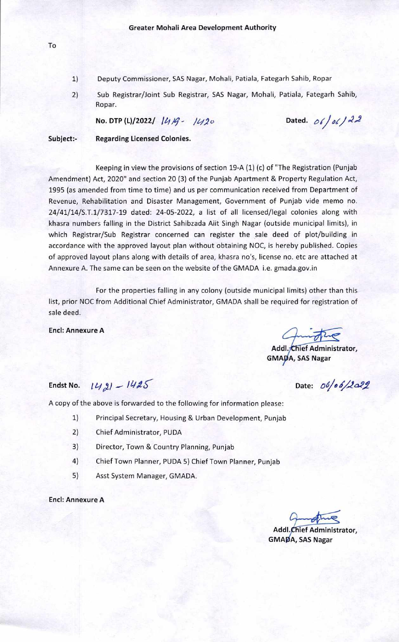- 1) Deputy Commissioner, SAS Nagar, Mohali, Patiala, Fategarh Sahib, Ropar
- 2) Sub Registrar/Joint Sub Registrar, SAS Nagar, Mohali, Patiala, Fategarh Sahib, Ropar.

**No. DTP (L)/2022/ 1419 - 1420 Dated.**  $06/\sqrt{22}$ 

### **Subject:- Regarding Licensed Colonies.**

Keeping in view the provisions of section 19-A (1) (c) of "The Registration (Punjab Amendment) Act, 2020" and section 20 (3) of the Punjab Apartment & Property Regulation Act, 1995 (as amended from time to time) and us per communication received from Department of Revenue, Rehabilitation and Disaster Management, Government of Punjab vide memo no. 24/41/14/S.T.1/7317-19 dated: 24-05-2022, a list of all licensed/legal colonies along with khasra numbers falling in the District Sahibzada Aiit Singh Nagar (outside municipal limits), in which Registrar/Sub Registrar concerned can register the sale deed of plot/building in accordance with the approved layout plan without obtaining NOC, is hereby published. Copies of approved layout plans along with details of area, khasra no's, license no. etc are attached at Annexure A. The same can be seen on the website of the GMADA i.e. gmada.gov.in

For the properties falling in any colony (outside municipal limits) other than this list, prior NOC from Additional Chief Administrator, GMADA shall be required for registration of sale deed.

**End: Annexure A** 

**Addl.yttüef Administrator, GMAØA, SAS Nagar** 

# **Endst No.**  $142$   $- 1425$

Date: 06/06/2022

A copy of the above is forwarded to the following for information please:

- 1) Principal Secretary, Housing & Urban Development, Punjab
- 2) Chief Administrator, PUDA
- 3) Director, Town & Country Planning, Punjab
- 4) Chief Town Planner, PUDA 5) Chief Town Planner, Punjab
- 5) Asst System Manager, GMADA.

#### **End: Annexure A**

**Add I ief Administrator,**  GMA**D**A, SAS Nagar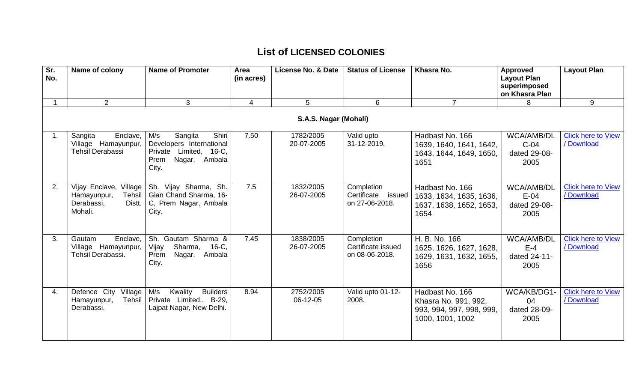| Sr.<br>No. | Name of colony                                                                     | <b>Name of Promoter</b>                                                                                               | Area<br>(in acres) | License No. & Date      | <b>Status of License</b>                              | Khasra No.                                                                              | <b>Approved</b><br><b>Layout Plan</b><br>superimposed<br>on Khasra Plan | <b>Layout Plan</b>                      |  |  |
|------------|------------------------------------------------------------------------------------|-----------------------------------------------------------------------------------------------------------------------|--------------------|-------------------------|-------------------------------------------------------|-----------------------------------------------------------------------------------------|-------------------------------------------------------------------------|-----------------------------------------|--|--|
|            | $2^{\circ}$                                                                        | 3                                                                                                                     | $\overline{4}$     | 5                       | 6                                                     | $\overline{7}$                                                                          | 8                                                                       | 9                                       |  |  |
|            | S.A.S. Nagar (Mohali)                                                              |                                                                                                                       |                    |                         |                                                       |                                                                                         |                                                                         |                                         |  |  |
|            | Enclave,<br>Sangita<br>Village Hamayunpur,<br>Tehsil Derabassi                     | Shiri<br>M/s<br>Sangita<br>Developers International<br>Private<br>Limited, 16-C,<br>Nagar,<br>Ambala<br>Prem<br>City. | 7.50               | 1782/2005<br>20-07-2005 | Valid upto<br>31-12-2019.                             | Hadbast No. 166<br>1639, 1640, 1641, 1642,<br>1643, 1644, 1649, 1650,<br>1651           | <b>WCA/AMB/DL</b><br>$C-04$<br>dated 29-08-<br>2005                     | <b>Click here to View</b><br>/ Download |  |  |
| 2.         | Vijay Enclave, Village<br>Hamayunpur,<br>Tehsil<br>Derabassi,<br>Distt.<br>Mohali. | Sh. Vijay Sharma, Sh.<br>Gian Chand Sharma, 16-<br>C, Prem Nagar, Ambala<br>City.                                     | 7.5                | 1832/2005<br>26-07-2005 | Completion<br>Certificate<br>issued<br>on 27-06-2018. | Hadbast No. 166<br>1633, 1634, 1635, 1636,<br>1637, 1638, 1652, 1653,<br>1654           | <b>WCA/AMB/DL</b><br>$E-04$<br>dated 29-08-<br>2005                     | <b>Click here to View</b><br>/ Download |  |  |
| 3.         | Enclave,<br>Gautam<br>Village Hamayunpur,<br>Tehsil Derabassi.                     | Sh. Gautam Sharma &<br>Vijay<br>Sharma,<br>16-C,<br>Ambala<br>Prem<br>Nagar,<br>City.                                 | 7.45               | 1838/2005<br>26-07-2005 | Completion<br>Certificate issued<br>on 08-06-2018.    | H. B. No. 166<br>1625, 1626, 1627, 1628,<br>1629, 1631, 1632, 1655,<br>1656             | <b>WCA/AMB/DL</b><br>$E-4$<br>dated 24-11-<br>2005                      | <b>Click here to View</b><br>/ Download |  |  |
| 4.         | Defence City<br>Village<br>Tehsil<br>Hamayunpur,<br>Derabassi.                     | M/s<br>Kwality<br><b>Builders</b><br>Private Limited,. B-29,<br>Lajpat Nagar, New Delhi.                              | 8.94               | 2752/2005<br>06-12-05   | Valid upto 01-12-<br>2008.                            | Hadbast No. 166<br>Khasra No. 991, 992,<br>993, 994, 997, 998, 999,<br>1000, 1001, 1002 | WCA/KB/DG1-<br>04<br>dated 28-09-<br>2005                               | <b>Click here to View</b><br>/Download  |  |  |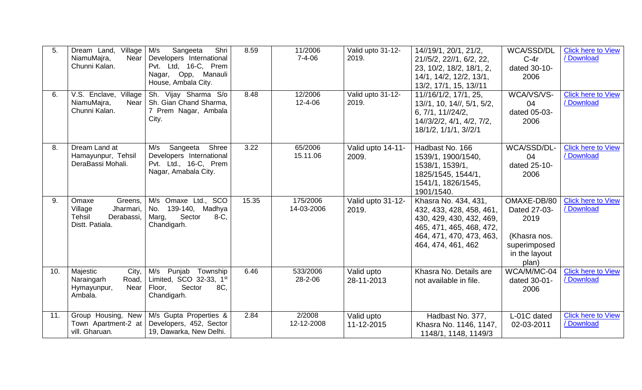| 5.  | Dream Land, Village<br>NiamuMajra,<br>Near<br>Chunni Kalan.                                | M/s<br>Sangeeta<br>Shri<br>Developers International<br>Pvt. Ltd, 16-C, Prem<br>Nagar, Opp, Manauli<br>House, Ambala City. | 8.59  | 11/2006<br>$7 - 4 - 06$ | Valid upto 31-12-<br>2019. | 14//19/1, 20/1, 21/2,<br>21//5/2, 22//1, 6/2, 22,<br>23, 10/2, 18/2, 18/1, 2,<br>14/1, 14/2, 12/2, 13/1,<br>13/2, 17/1, 15, 13//11                         | WCA/SSD/DL<br>$C-4r$<br>dated 30-10-<br>2006                                                  | <b>Click here to View</b><br>/ Download |
|-----|--------------------------------------------------------------------------------------------|---------------------------------------------------------------------------------------------------------------------------|-------|-------------------------|----------------------------|------------------------------------------------------------------------------------------------------------------------------------------------------------|-----------------------------------------------------------------------------------------------|-----------------------------------------|
| 6.  | V.S. Enclave, Village<br>NiamuMajra,<br>Near<br>Chunni Kalan.                              | Sh. Vijay Sharma S/o<br>Sh. Gian Chand Sharma,<br>7 Prem Nagar, Ambala<br>City.                                           | 8.48  | 12/2006<br>12-4-06      | Valid upto 31-12-<br>2019. | 11//16/1/2, 17/1, 25,<br>13//1, 10, 14//, 5/1, 5/2,<br>6, 7/1, 11//24/2,<br>14//3/2/2, 4/1, 4/2, 7/2,<br>18/1/2, 1/1/1, 3//2/1                             | WCA/VS/VS-<br>04<br>dated 05-03-<br>2006                                                      | <b>Click here to View</b><br>/ Download |
| 8.  | Dream Land at<br>Hamayunpur, Tehsil<br>DeraBassi Mohali.                                   | Sangeeta<br>Shree<br>M/s<br>Developers International<br>Pvt. Ltd., 16-C, Prem<br>Nagar, Amabala City.                     | 3.22  | 65/2006<br>15.11.06     | Valid upto 14-11-<br>2009. | Hadbast No. 166<br>1539/1, 1900/1540,<br>1538/1, 1539/1,<br>1825/1545, 1544/1,<br>1541/1, 1826/1545,<br>1901/1540.                                         | WCA/SSD/DL-<br>04<br>dated 25-10-<br>2006                                                     | <b>Click here to View</b><br>/ Download |
| 9.  | Greens,<br>Omaxe<br>Jharmari,<br>Village<br><b>Tehsil</b><br>Derabassi,<br>Distt. Patiala. | M/s Omaxe Ltd., SCO<br>No.<br>139-140, Madhya<br>Sector<br>$8-C$ .<br>Marg,<br>Chandigarh.                                | 15.35 | 175/2006<br>14-03-2006  | Valid upto 31-12-<br>2019. | Khasra No. 434, 431,<br>432, 433, 428, 458, 461,<br>430, 429, 430, 432, 469,<br>465, 471, 465, 468, 472,<br>464, 471, 470, 473, 463,<br>464, 474, 461, 462 | OMAXE-DB/80<br>Dated 27-03-<br>2019<br>(Khasra nos.<br>superimposed<br>in the layout<br>plan) | <b>Click here to View</b><br>/ Download |
| 10. | Majestic<br>City,<br>Road,<br>Naraingarh<br>Near<br>Hymayunpur,<br>Ambala.                 | M/s Punjab<br>Township<br>Limited, SCO 32-33, 1st<br>Sector<br>8C.<br>Floor,<br>Chandigarh.                               | 6.46  | 533/2006<br>28-2-06     | Valid upto<br>28-11-2013   | Khasra No. Details are<br>not available in file.                                                                                                           | WCA/M/MC-04<br>dated 30-01-<br>2006                                                           | <b>Click here to View</b><br>/ Download |
| 11. | Group Housing, New<br>Town Apartment-2 at<br>vill. Gharuan.                                | M/s Gupta Properties &<br>Developers, 452, Sector<br>19, Dawarka, New Delhi.                                              | 2.84  | 2/2008<br>12-12-2008    | Valid upto<br>11-12-2015   | Hadbast No. 377,<br>Khasra No. 1146, 1147,<br>1148/1, 1148, 1149/3                                                                                         | L-01C dated<br>02-03-2011                                                                     | <b>Click here to View</b><br>/ Download |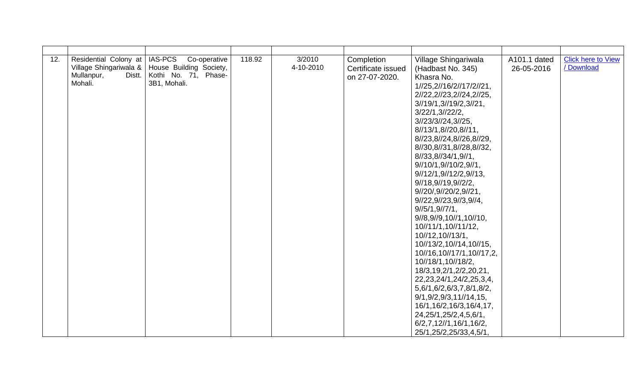| 12. | Residential Colony at<br>Village Shingariwala &  <br>Distt.<br>Mullanpur,<br>Mohali. | <b>IAS-PCS</b><br>Co-operative<br>House Building Society,<br>Kothi No. 71, Phase-<br>3B1, Mohali. | 118.92 | 3/2010<br>4-10-2010 | Completion<br>Certificate issued<br>on 27-07-2020. | Village Shingariwala<br>(Hadbast No. 345)<br>Khasra No.<br>1//25,2//16/2//17/2//21,<br>2//22, 2//23, 2//24, 2//25,<br>3/19/1,3/19/2,3/21,<br>3/22/1, 3/22/2,<br>3/23/3/24,3/25,<br>8//13/1,8//20,8//11,<br>8//23,8//24,8//26,8//29,<br>8//30,8//31,8//28,8//32,<br>8//33,8//34/1,9//1,<br>9//10/1,9//10/2,9//1,<br>9/12/1,9/12/2,9/13,<br>$9\frac{1}{18}$ , $9\frac{1}{19}$ , $9\frac{1}{2}/2$ ,<br>9//20/,9//20/2,9//21,<br>9//22,9//23,9//3,9//4,<br>$9\frac{1}{5}$ /1,9 $\frac{1}{7}$ /1,<br>9//8,9//9,10//1,10//10,<br>10//11/1,10//11/12,<br>10//12,10//13/1,<br>10//13/2,10//14,10//15,<br>10//16,10//17/1,10//17,2,<br>10//18/1,10//18/2,<br>18/3, 19, 2/1, 2/2, 20, 21,<br>22, 23, 24/1, 24/2, 25, 3, 4,<br>5,6/1,6/2,6/3,7,8/1,8/2,<br>9/1, 9/2, 9/3, 11/14, 15,<br>16/1, 16/2, 16/3, 16/4, 17,<br>24, 25/1, 25/2, 4, 5, 6/1,<br>$6/2,7,12$ //1,16/1,16/2,<br>25/1,25/2,25/33,4,5/1, | A101.1 dated<br>26-05-2016 | <b>Click here to View</b><br>/ Download |
|-----|--------------------------------------------------------------------------------------|---------------------------------------------------------------------------------------------------|--------|---------------------|----------------------------------------------------|-----------------------------------------------------------------------------------------------------------------------------------------------------------------------------------------------------------------------------------------------------------------------------------------------------------------------------------------------------------------------------------------------------------------------------------------------------------------------------------------------------------------------------------------------------------------------------------------------------------------------------------------------------------------------------------------------------------------------------------------------------------------------------------------------------------------------------------------------------------------------------------------------|----------------------------|-----------------------------------------|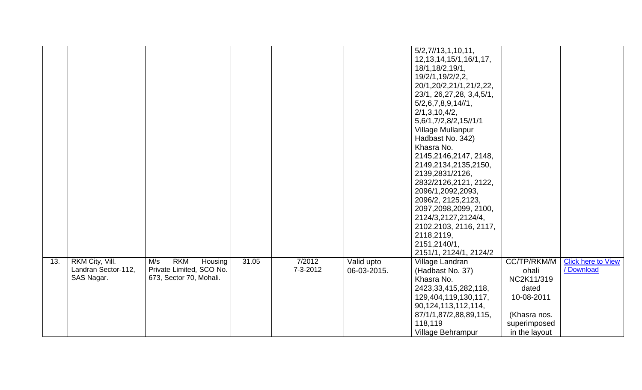|     |                     |                              |       |          |             | 5/2,7/13,1,10,11,            |               |                           |
|-----|---------------------|------------------------------|-------|----------|-------------|------------------------------|---------------|---------------------------|
|     |                     |                              |       |          |             |                              |               |                           |
|     |                     |                              |       |          |             | 12, 13, 14, 15/1, 16/1, 17,  |               |                           |
|     |                     |                              |       |          |             | 18/1,18/2,19/1,              |               |                           |
|     |                     |                              |       |          |             | 19/2/1,19/2/2,2,             |               |                           |
|     |                     |                              |       |          |             | 20/1,20/2,21/1,21/2,22,      |               |                           |
|     |                     |                              |       |          |             | 23/1, 26, 27, 28, 3, 4, 5/1, |               |                           |
|     |                     |                              |       |          |             | 5/2, 6, 7, 8, 9, 14 // 1,    |               |                           |
|     |                     |                              |       |          |             | 2/1, 3, 10, 4/2,             |               |                           |
|     |                     |                              |       |          |             | 5,6/1,7/2,8/2,15//1/1        |               |                           |
|     |                     |                              |       |          |             | Village Mullanpur            |               |                           |
|     |                     |                              |       |          |             | Hadbast No. 342)             |               |                           |
|     |                     |                              |       |          |             | Khasra No.                   |               |                           |
|     |                     |                              |       |          |             | 2145,2146,2147, 2148,        |               |                           |
|     |                     |                              |       |          |             | 2149,2134,2135,2150,         |               |                           |
|     |                     |                              |       |          |             | 2139,2831/2126,              |               |                           |
|     |                     |                              |       |          |             | 2832/2126,2121, 2122,        |               |                           |
|     |                     |                              |       |          |             | 2096/1,2092,2093,            |               |                           |
|     |                     |                              |       |          |             | 2096/2, 2125, 2123,          |               |                           |
|     |                     |                              |       |          |             | 2097,2098,2099, 2100,        |               |                           |
|     |                     |                              |       |          |             | 2124/3,2127,2124/4,          |               |                           |
|     |                     |                              |       |          |             | 2102.2103, 2116, 2117,       |               |                           |
|     |                     |                              |       |          |             | 2118,2119,                   |               |                           |
|     |                     |                              |       |          |             | 2151,2140/1,                 |               |                           |
|     |                     |                              |       |          |             | 2151/1, 2124/1, 2124/2       |               |                           |
| 13. | RKM City, Vill.     | <b>RKM</b><br>M/s<br>Housing | 31.05 | 7/2012   | Valid upto  | Village Landran              | CC/TP/RKM/M   | <b>Click here to View</b> |
|     | Landran Sector-112, | Private Limited, SCO No.     |       | 7-3-2012 | 06-03-2015. | (Hadbast No. 37)             | ohali         | / Download                |
|     | SAS Nagar.          | 673, Sector 70, Mohali.      |       |          |             | Khasra No.                   | NC2K11/319    |                           |
|     |                     |                              |       |          |             | 2423, 33, 415, 282, 118,     | dated         |                           |
|     |                     |                              |       |          |             | 129,404,119,130,117,         | 10-08-2011    |                           |
|     |                     |                              |       |          |             | 90, 124, 113, 112, 114,      |               |                           |
|     |                     |                              |       |          |             |                              |               |                           |
|     |                     |                              |       |          |             | 87/1/1,87/2,88,89,115,       | (Khasra nos.  |                           |
|     |                     |                              |       |          |             | 118,119                      | superimposed  |                           |
|     |                     |                              |       |          |             | Village Behrampur            | in the layout |                           |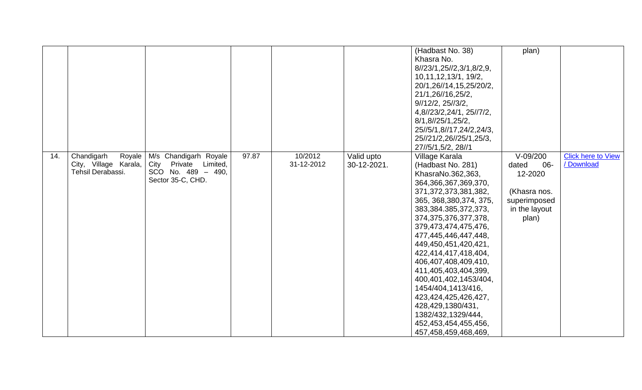|     |                       |                       |       |            |             | (Hadbast No. 38)                | plan)          |                           |
|-----|-----------------------|-----------------------|-------|------------|-------------|---------------------------------|----------------|---------------------------|
|     |                       |                       |       |            |             | Khasra No.                      |                |                           |
|     |                       |                       |       |            |             | 8//23/1,25//2,3/1,8/2,9,        |                |                           |
|     |                       |                       |       |            |             | 10, 11, 12, 13/1, 19/2,         |                |                           |
|     |                       |                       |       |            |             | 20/1,26//14,15,25/20/2,         |                |                           |
|     |                       |                       |       |            |             | 21/1,26//16,25/2,               |                |                           |
|     |                       |                       |       |            |             | $9\frac{1}{2}$ 25 $\frac{1}{3}$ |                |                           |
|     |                       |                       |       |            |             | 4,8//23/2,24/1, 25//7/2,        |                |                           |
|     |                       |                       |       |            |             | 8/1,8/25/1,25/2,                |                |                           |
|     |                       |                       |       |            |             | 25//5/1,8//17,24/2,24/3,        |                |                           |
|     |                       |                       |       |            |             | 25//21/2,26//25/1,25/3,         |                |                           |
|     |                       |                       |       |            |             | 27//5/1,5/2, 28//1              |                |                           |
| 14. | Chandigarh<br>Royale  | M/s Chandigarh Royale | 97.87 | 10/2012    | Valid upto  | Village Karala                  | $V-09/200$     | <b>Click here to View</b> |
|     | City, Village Karala, | City Private Limited, |       | 31-12-2012 | 30-12-2021. | (Hadbast No. 281)               | dated<br>$06-$ | / Download                |
|     | Tehsil Derabassi.     | SCO No. 489 - 490,    |       |            |             | KhasraNo.362,363,               | 12-2020        |                           |
|     |                       | Sector 35-C, CHD.     |       |            |             | 364,366,367,369,370,            |                |                           |
|     |                       |                       |       |            |             | 371, 372, 373, 381, 382,        | (Khasra nos.   |                           |
|     |                       |                       |       |            |             | 365, 368, 380, 374, 375,        | superimposed   |                           |
|     |                       |                       |       |            |             | 383,384.385,372,373,            | in the layout  |                           |
|     |                       |                       |       |            |             | 374, 375, 376, 377, 378,        | plan)          |                           |
|     |                       |                       |       |            |             | 379,473,474,475,476,            |                |                           |
|     |                       |                       |       |            |             | 477,445,446,447,448,            |                |                           |
|     |                       |                       |       |            |             | 449,450,451,420,421,            |                |                           |
|     |                       |                       |       |            |             | 422,414,417,418,404,            |                |                           |
|     |                       |                       |       |            |             | 406,407,408,409,410,            |                |                           |
|     |                       |                       |       |            |             | 411,405,403,404,399,            |                |                           |
|     |                       |                       |       |            |             | 400,401,402,1453/404,           |                |                           |
|     |                       |                       |       |            |             | 1454/404,1413/416,              |                |                           |
|     |                       |                       |       |            |             | 423, 424, 425, 426, 427,        |                |                           |
|     |                       |                       |       |            |             | 428,429,1380/431,               |                |                           |
|     |                       |                       |       |            |             | 1382/432,1329/444,              |                |                           |
|     |                       |                       |       |            |             | 452,453,454,455,456,            |                |                           |
|     |                       |                       |       |            |             | 457,458,459,468,469,            |                |                           |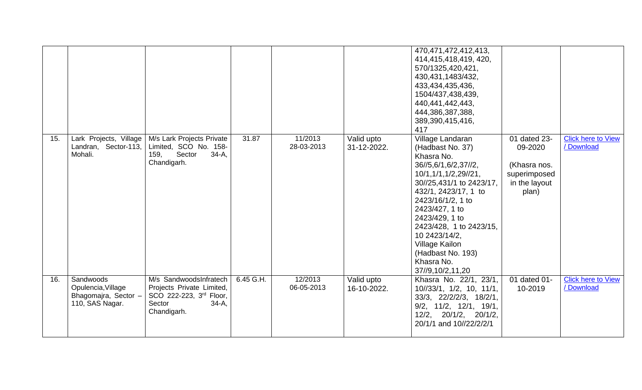|     |                                                                            |                                                                                                                     |           |                       |                           | 470, 471, 472, 412, 413,<br>414,415,418,419, 420,<br>570/1325,420,421,<br>430, 431, 1483/ 432,<br>433,434,435,436,<br>1504/437,438,439,<br>440,441,442,443,<br>444,386,387,388,<br>389,390,415,416,<br>417                                                                                                                                  |                                                                                   |                                         |
|-----|----------------------------------------------------------------------------|---------------------------------------------------------------------------------------------------------------------|-----------|-----------------------|---------------------------|---------------------------------------------------------------------------------------------------------------------------------------------------------------------------------------------------------------------------------------------------------------------------------------------------------------------------------------------|-----------------------------------------------------------------------------------|-----------------------------------------|
| 15. | Lark Projects, Village<br>Landran, Sector-113,<br>Mohali.                  | M/s Lark Projects Private<br>Limited, SCO No. 158-<br>Sector<br>$34-A,$<br>159,<br>Chandigarh.                      | 31.87     | 11/2013<br>28-03-2013 | Valid upto<br>31-12-2022. | Village Landaran<br>(Hadbast No. 37)<br>Khasra No.<br>36//5,6/1,6/2,37//2,<br>10/1,1/1,1/2,29//21,<br>30//25,431/1 to 2423/17,<br>432/1, 2423/17, 1 to<br>2423/16/1/2, 1 to<br>2423/427, 1 to<br>2423/429, 1 to<br>2423/428, 1 to 2423/15,<br>10 2423/14/2,<br><b>Village Kailon</b><br>(Hadbast No. 193)<br>Khasra No.<br>37//9,10/2,11,20 | 01 dated 23-<br>09-2020<br>(Khasra nos.<br>superimposed<br>in the layout<br>plan) | <b>Click here to View</b><br>/ Download |
| 16. | Sandwoods<br>Opulencia, Village<br>Bhagomajra, Sector -<br>110, SAS Nagar. | M/s SandwoodsInfratech<br>Projects Private Limited,<br>SCO 222-223, 3rd Floor,<br>Sector<br>$34-A$ ,<br>Chandigarh. | 6.45 G.H. | 12/2013<br>06-05-2013 | Valid upto<br>16-10-2022. | Khasra No. 22/1, 23/1,<br>$10/33/1$ , $1/2$ , $10$ , $11/1$ ,<br>33/3, 22/2/2/3, 18/2/1,<br>$9/2$ , $11/2$ , $12/1$ , $19/1$ ,<br>12/2, 20/1/2, 20/1/2,<br>20/1/1 and 10//22/2/2/1                                                                                                                                                          | 01 dated 01-<br>10-2019                                                           | <b>Click here to View</b><br>/ Download |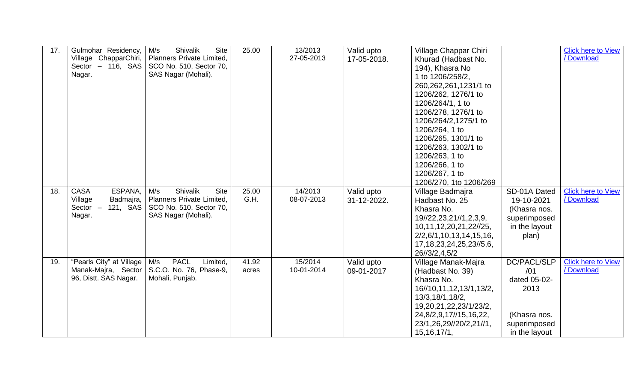| 17. | Gulmohar Residency,<br>Village ChapparChiri,<br>Sector $-116$ , SAS<br>Nagar.      | Shivalik<br>M/s<br><b>Site</b><br>Planners Private Limited,<br>SCO No. 510, Sector 70,<br>SAS Nagar (Mohali).        | 25.00          | 13/2013<br>27-05-2013 | Valid upto<br>17-05-2018. | Village Chappar Chiri<br>Khurad (Hadbast No.<br>194), Khasra No<br>1 to 1206/258/2,<br>260,262,261,1231/1 to<br>1206/262, 1276/1 to<br>1206/264/1, 1 to<br>1206/278, 1276/1 to<br>1206/264/2,1275/1 to    |                                                                                             | <b>Click here to View</b><br>/ Download |
|-----|------------------------------------------------------------------------------------|----------------------------------------------------------------------------------------------------------------------|----------------|-----------------------|---------------------------|-----------------------------------------------------------------------------------------------------------------------------------------------------------------------------------------------------------|---------------------------------------------------------------------------------------------|-----------------------------------------|
|     |                                                                                    |                                                                                                                      |                |                       |                           | 1206/264, 1 to<br>1206/265, 1301/1 to<br>1206/263, 1302/1 to<br>1206/263, 1 to<br>1206/266, 1 to<br>1206/267, 1 to<br>1206/270, 1to 1206/269                                                              |                                                                                             |                                         |
| 18. | ESPANA,<br><b>CASA</b><br>Village<br>Badmajra,<br>121, SAS<br>Sector $-$<br>Nagar. | <b>Shivalik</b><br>M/s<br><b>Site</b><br>Planners Private Limited,<br>SCO No. 510, Sector 70,<br>SAS Nagar (Mohali). | 25.00<br>G.H.  | 14/2013<br>08-07-2013 | Valid upto<br>31-12-2022. | Village Badmajra<br>Hadbast No. 25<br>Khasra No.<br>19//22,23,21//1,2,3,9,<br>10, 11, 12, 20, 21, 22// 25,<br>2/2,6/1,10,13,14,15,16,<br>17, 18, 23, 24, 25, 23//5, 6,<br>26//3/2,4,5/2                   | SD-01A Dated<br>19-10-2021<br>(Khasra nos.<br>superimposed<br>in the layout<br>plan)        | <b>Click here to View</b><br>/ Download |
| 19. | "Pearls City" at Village<br>96, Distt. SAS Nagar.                                  | <b>PACL</b><br>M/s<br>Limited.<br>Manak-Majra, Sector   S.C.O. No. 76, Phase-9,<br>Mohali, Punjab.                   | 41.92<br>acres | 15/2014<br>10-01-2014 | Valid upto<br>09-01-2017  | Village Manak-Majra<br>(Hadbast No. 39)<br>Khasra No.<br>16//10,11,12,13/1,13/2,<br>13/3,18/1,18/2,<br>19, 20, 21, 22, 23/1/ 23/ 2,<br>24,8/2,9,17//15,16,22,<br>23/1,26,29//20/2,21//1,<br>15, 16, 17/1, | DC/PACL/SLP<br>/01<br>dated 05-02-<br>2013<br>(Khasra nos.<br>superimposed<br>in the layout | <b>Click here to View</b><br>/ Download |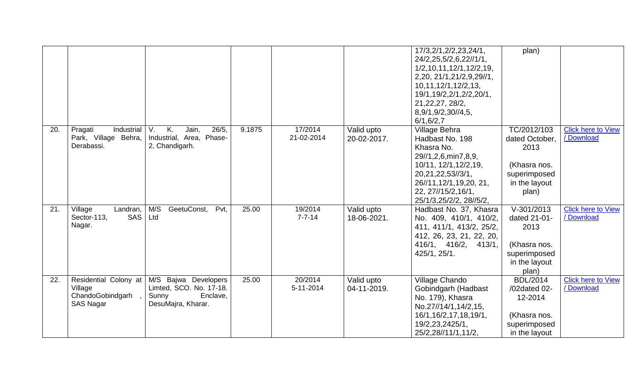|     |                                                                          |                                                                                            |        |                         |                           | 17/3, 2/1, 2/2, 23, 24/1,<br>24/2,25,5/2,6,22//1/1,<br>1/2, 10, 11, 12/1, 12/2, 19,<br>2,20, 21/1,21/2,9,29//1,<br>10, 11, 12/1, 12/2, 13,<br>19/1, 19/2, 2/1, 2/2, 20/1,<br>21, 22, 27, 28/2,<br>8,9/1,9/2,30//4,5,<br>6/1, 6/2, 7 | plan)                                                                                            |                                         |
|-----|--------------------------------------------------------------------------|--------------------------------------------------------------------------------------------|--------|-------------------------|---------------------------|-------------------------------------------------------------------------------------------------------------------------------------------------------------------------------------------------------------------------------------|--------------------------------------------------------------------------------------------------|-----------------------------------------|
| 20. | Pragati<br>Industrial<br>Park, Village Behra,<br>Derabassi.              | V.<br>K.<br>26/5,<br>Jain,<br>Industrial, Area, Phase-<br>2, Chandigarh.                   | 9.1875 | 17/2014<br>21-02-2014   | Valid upto<br>20-02-2017. | Village Behra<br>Hadbast No. 198<br>Khasra No.<br>29//1,2,6,min7,8,9,<br>10/11, 12/1, 12/2, 19,<br>20, 21, 22, 53//3/1,<br>26//11,12/1,19,20, 21,<br>22, 27//15/2, 16/1,<br>25/1/3,25/2/2, 28//5/2,                                 | TC/2012/103<br>dated October,<br>2013<br>(Khasra nos.<br>superimposed<br>in the layout<br>plan)  | <b>Click here to View</b><br>/ Download |
| 21. | Village<br>Landran,<br><b>SAS</b><br>Sector-113,<br>Nagar.               | M/S<br>GeetuConst,<br>Pvt,<br>Ltd                                                          | 25.00  | 19/2014<br>$7 - 7 - 14$ | Valid upto<br>18-06-2021. | Hadbast No. 37, Khasra<br>No. 409, 410/1, 410/2,<br>411, 411/1, 413/2, 25/2,<br>412, 26, 23, 21, 22, 20,<br>416/1, 416/2, 413/1,<br>425/1, 25/1.                                                                                    | $V - 301/2013$<br>dated 21-01-<br>2013<br>(Khasra nos.<br>superimposed<br>in the layout<br>plan) | <b>Click here to View</b><br>/ Download |
| 22. | Residential Colony at<br>Village<br>ChandoGobindgarh<br><b>SAS Nagar</b> | M/S Bajwa Developers<br>Limted, SCO. No. 17-18.<br>Enclave,<br>Sunny<br>DesuMajra, Kharar. | 25.00  | 20/2014<br>5-11-2014    | Valid upto<br>04-11-2019. | Village Chando<br>Gobindgarh (Hadbast<br>No. 179), Khasra<br>No.27//14/1,14/2,15,<br>16/1,16/2,17,18,19/1,<br>19/2,23,2425/1,<br>25/2,28//11/1,11/2,                                                                                | <b>BDL/2014</b><br>/02dated 02-<br>12-2014<br>(Khasra nos.<br>superimposed<br>in the layout      | <b>Click here to View</b><br>/Download  |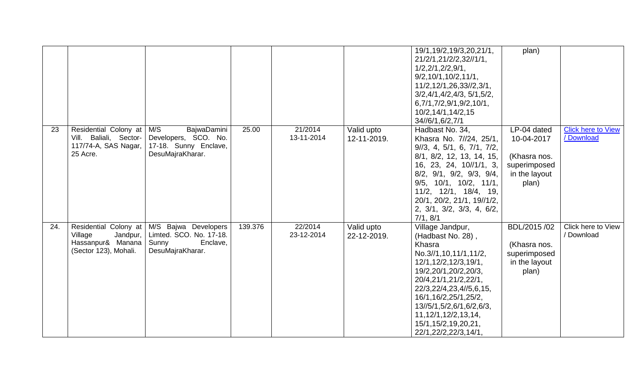|     |                                  |                                           |         |            |             | 19/1,19/2,19/3,20,21/1,<br>21/2/1,21/2/2,32//1/1,   | plan)         |                           |
|-----|----------------------------------|-------------------------------------------|---------|------------|-------------|-----------------------------------------------------|---------------|---------------------------|
|     |                                  |                                           |         |            |             | $1/2$ , $2/1$ , $2/2$ , $9/1$ ,                     |               |                           |
|     |                                  |                                           |         |            |             | 9/2, 10/1, 10/2, 11/1,                              |               |                           |
|     |                                  |                                           |         |            |             | 11/2,12/1,26,33//2,3/1,                             |               |                           |
|     |                                  |                                           |         |            |             | 3/2,4/1,4/2,4/3,5/1,5/2,                            |               |                           |
|     |                                  |                                           |         |            |             | 6,7/1,7/2,9/1,9/2,10/1,                             |               |                           |
|     |                                  |                                           |         |            |             | 10/2,14/1,14/2,15                                   |               |                           |
|     |                                  |                                           |         |            |             | 34//6/1,6/2,7/1                                     |               |                           |
| 23  | Residential Colony at            | M/S<br>BajwaDamini                        | 25.00   | 21/2014    | Valid upto  | Hadbast No. 34,                                     | LP-04 dated   | <b>Click here to View</b> |
|     | Vill. Baliali, Sector-           | Developers, SCO. No.                      |         | 13-11-2014 | 12-11-2019. | Khasra No. 7//24, 25/1,                             | 10-04-2017    | / Download                |
|     | 117/74-A, SAS Nagar,<br>25 Acre. | 17-18. Sunny Enclave,<br>DesuMajraKharar. |         |            |             | $9/3$ , 4, 5/1, 6, 7/1, 7/2,                        |               |                           |
|     |                                  |                                           |         |            |             | 8/1, 8/2, 12, 13, 14, 15,                           | (Khasra nos.  |                           |
|     |                                  |                                           |         |            |             | 16, 23, 24, 10//1/1, 3,                             | superimposed  |                           |
|     |                                  |                                           |         |            |             | $8/2$ , $9/1$ , $9/2$ , $9/3$ , $9/4$ ,             | in the layout |                           |
|     |                                  |                                           |         |            |             | $9/5$ , 10/1, 10/2, 11/1,                           | plan)         |                           |
|     |                                  |                                           |         |            |             | 11/2, 12/1, 18/4, 19,<br>20/1, 20/2, 21/1, 19//1/2, |               |                           |
|     |                                  |                                           |         |            |             | 2, 3/1, 3/2, 3/3, 4, 6/2,                           |               |                           |
|     |                                  |                                           |         |            |             | 7/1, 8/1                                            |               |                           |
| 24. | Residential Colony at            | M/S Bajwa Developers                      | 139.376 | 22/2014    | Valid upto  | Village Jandpur,                                    | BDL/2015 /02  | Click here to View        |
|     | Village<br>Jandpur,              | Limted. SCO. No. 17-18.                   |         | 23-12-2014 | 22-12-2019. | (Hadbast No. 28),                                   |               | / Download                |
|     | Hassanpur& Manana                | Sunny<br>Enclave,                         |         |            |             | Khasra                                              | (Khasra nos.  |                           |
|     | (Sector 123), Mohali.            | DesuMajraKharar.                          |         |            |             | No.3//1,10,11/1,11/2,                               | superimposed  |                           |
|     |                                  |                                           |         |            |             | 12/1,12/2,12/3,19/1,                                | in the layout |                           |
|     |                                  |                                           |         |            |             | 19/2,20/1,20/2,20/3,                                | plan)         |                           |
|     |                                  |                                           |         |            |             | 20/4,21/1,21/2,22/1,                                |               |                           |
|     |                                  |                                           |         |            |             | 22/3,22/4,23,4//5,6,15,                             |               |                           |
|     |                                  |                                           |         |            |             | 16/1, 16/2, 25/1, 25/2,                             |               |                           |
|     |                                  |                                           |         |            |             | 13//5/1,5/2,6/1,6/2,6/3,                            |               |                           |
|     |                                  |                                           |         |            |             | 11, 12/1, 12/2, 13, 14,<br>15/1,15/2,19,20,21,      |               |                           |
|     |                                  |                                           |         |            |             |                                                     |               |                           |
|     |                                  |                                           |         |            |             | 22/1,22/2,22/3,14/1,                                |               |                           |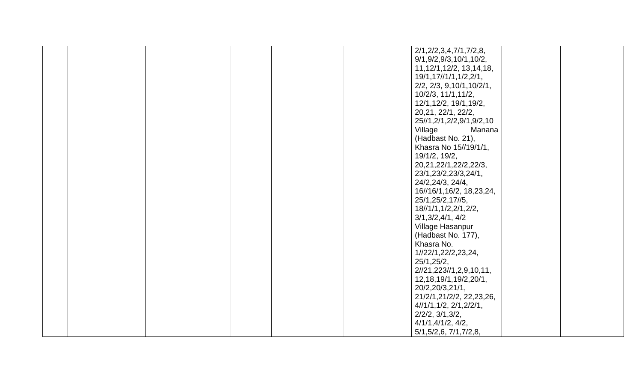|  |  | 2/1, 2/2, 3, 4, 7/1, 7/2, 8,      |  |
|--|--|-----------------------------------|--|
|  |  | 9/1,9/2,9/3,10/1,10/2,            |  |
|  |  | 11, 12/1, 12/2, 13, 14, 18,       |  |
|  |  | 19/1,17//1/1,1/2,2/1,             |  |
|  |  | $2/2$ , $2/3$ , $9,10/1,10/2/1$ , |  |
|  |  |                                   |  |
|  |  | 10/2/3, 11/1, 11/2,               |  |
|  |  | 12/1,12/2, 19/1,19/2,             |  |
|  |  | 20, 21, 22/1, 22/2,               |  |
|  |  | 25//1,2/1,2/2,9/1,9/2,10          |  |
|  |  | Village<br>Manana                 |  |
|  |  | (Hadbast No. 21),                 |  |
|  |  | Khasra No 15//19/1/1,             |  |
|  |  | 19/1/2, 19/2,                     |  |
|  |  | 20, 21, 22/1, 22/2, 22/3,         |  |
|  |  | 23/1,23/2,23/3,24/1,              |  |
|  |  |                                   |  |
|  |  | 24/2,24/3, 24/4,                  |  |
|  |  | 16//16/1,16/2, 18,23,24,          |  |
|  |  | 25/1,25/2,17//5,                  |  |
|  |  | 18//1/1,1/2,2/1,2/2,              |  |
|  |  | 3/1,3/2,4/1,4/2                   |  |
|  |  | Village Hasanpur                  |  |
|  |  | (Hadbast No. 177),                |  |
|  |  | Khasra No.                        |  |
|  |  | 1//22/1,22/2,23,24,               |  |
|  |  | 25/1,25/2,                        |  |
|  |  | 2//21,223//1,2,9,10,11,           |  |
|  |  |                                   |  |
|  |  | 12, 18, 19/1, 19/2, 20/1,         |  |
|  |  | 20/2,20/3,21/1,                   |  |
|  |  | 21/2/1,21/2/2, 22,23,26,          |  |
|  |  | 4//1/1, 1/2, 2/1, 2/2/1,          |  |
|  |  | $2/2/2$ , $3/1,3/2$ ,             |  |
|  |  | 4/1/1, 4/1/2, 4/2,                |  |
|  |  | 5/1, 5/2, 6, 7/1, 7/2, 8,         |  |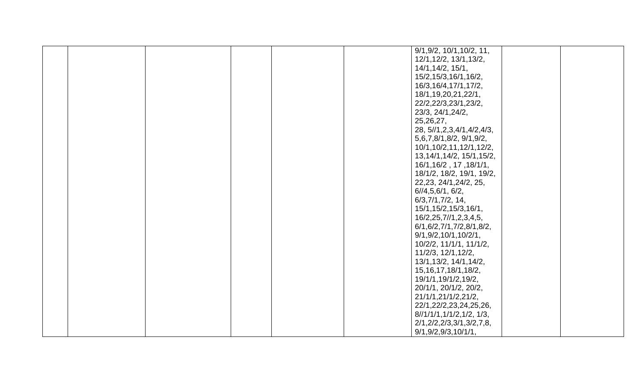|  | 9/1,9/2, 10/1, 10/2, 11,       |  |
|--|--------------------------------|--|
|  |                                |  |
|  | 12/1,12/2, 13/1,13/2,          |  |
|  | 14/1, 14/2, 15/1,              |  |
|  | 15/2,15/3,16/1,16/2,           |  |
|  | 16/3,16/4,17/1,17/2,           |  |
|  | 18/1, 19, 20, 21, 22/1,        |  |
|  | 22/2,22/3,23/1,23/2,           |  |
|  | 23/3, 24/1, 24/2,              |  |
|  | 25,26,27,                      |  |
|  | 28, 5//1, 2, 3, 4/1, 4/2, 4/3, |  |
|  | 5, 6, 7, 8/1, 8/2, 9/1, 9/2,   |  |
|  | 10/1,10/2,11,12/1,12/2,        |  |
|  | 13, 14/1, 14/2, 15/1, 15/2,    |  |
|  | 16/1,16/2, 17, 18/1/1,         |  |
|  | 18/1/2, 18/2, 19/1, 19/2,      |  |
|  | 22, 23, 24/1, 24/2, 25,        |  |
|  | 6/14, 5, 6/1, 6/2,             |  |
|  | 6/3,7/1,7/2,14,                |  |
|  | 15/1,15/2,15/3,16/1,           |  |
|  | 16/2,25,7//1,2,3,4,5,          |  |
|  | 6/1, 6/2, 7/1, 7/2, 8/1, 8/2,  |  |
|  | 9/1, 9/2, 10/1, 10/2/1,        |  |
|  | 10/2/2, 11/1/1, 11/1/2,        |  |
|  | 11/2/3, 12/1, 12/2,            |  |
|  | 13/1,13/2, 14/1,14/2,          |  |
|  | 15, 16, 17, 18/1, 18/2,        |  |
|  | 19/1/1,19/1/2,19/2,            |  |
|  | 20/1/1, 20/1/2, 20/2,          |  |
|  | 21/1/1,21/1/2,21/2,            |  |
|  | 22/1,22/2,23,24,25,26,         |  |
|  | 8/1/1/1, 1/1/2, 1/2, 1/3,      |  |
|  | 2/1,2/2,2/3,3/1,3/2,7,8,       |  |
|  | 9/1, 9/2, 9/3, 10/1/1,         |  |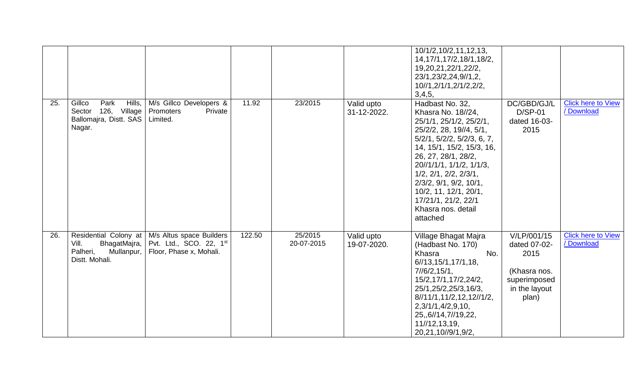|     |                                                                                     |                                                                                                        |        |                       |                           | 10/1/2,10/2,11,12,13,<br>14, 17/1, 17/2, 18/1, 18/2,<br>19, 20, 21, 22/1, 22/2,<br>23/1,23/2,24,9//1,2,<br>10//1,2/1/1,2/1/2,2/2,<br>3,4,5,                                                                                                                                                                                                                                     |                                                                                               |                                         |
|-----|-------------------------------------------------------------------------------------|--------------------------------------------------------------------------------------------------------|--------|-----------------------|---------------------------|---------------------------------------------------------------------------------------------------------------------------------------------------------------------------------------------------------------------------------------------------------------------------------------------------------------------------------------------------------------------------------|-----------------------------------------------------------------------------------------------|-----------------------------------------|
| 25. | Gillco<br>Park<br>Hills,<br>Sector 126, Village<br>Ballomajra, Distt. SAS<br>Nagar. | M/s Gillco Developers &<br>Private<br>Promoters<br>Limited.                                            | 11.92  | 23/2015               | Valid upto<br>31-12-2022. | Hadbast No. 32,<br>Khasra No. 18//24,<br>25/1/1, 25/1/2, 25/2/1,<br>25/2/2, 28, 19//4, 5/1,<br>$5/2/1$ , $5/2/2$ , $5/2/3$ , 6, 7,<br>14, 15/1, 15/2, 15/3, 16,<br>26, 27, 28/1, 28/2,<br>20//1/1/1, 1/1/2, 1/1/3,<br>$1/2$ , $2/1$ , $2/2$ , $2/3/1$ ,<br>$2/3/2$ , $9/1$ , $9/2$ , $10/1$ ,<br>10/2, 11, 12/1, 20/1,<br>17/21/1, 21/2, 22/1<br>Khasra nos. detail<br>attached | DC/GBD/GJ/L<br>$D/SP-01$<br>dated 16-03-<br>2015                                              | <b>Click here to View</b><br>/ Download |
| 26. | Vill.<br>BhagatMajra,<br>Palheri,<br>Mullanpur,<br>Distt. Mohali.                   | Residential Colony at   M/s Altus space Builders<br>Pvt. Ltd., SCO. 22, 1st<br>Floor, Phase x, Mohali. | 122.50 | 25/2015<br>20-07-2015 | Valid upto<br>19-07-2020. | Village Bhagat Majra<br>(Hadbast No. 170)<br>Khasra<br>No.<br>6/13, 15/1, 17/1, 18,<br>7/6/2, 15/1,<br>15/2,17/1,17/2,24/2,<br>25/1,25/2,25/3,16/3,<br>8/11/1, 11/2, 12, 12/11/2,<br>2,3/1/1,4/2,9,10,<br>25,,6//14,7//19,22,<br>11//12,13,19,<br>20,21,10//9/1,9/2,                                                                                                            | V/LP/001/15<br>dated 07-02-<br>2015<br>(Khasra nos.<br>superimposed<br>in the layout<br>plan) | <b>Click here to View</b><br>/ Download |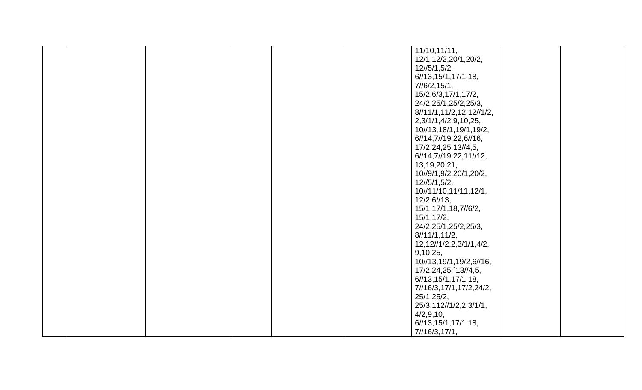|  | 11/10, 11/11,                                                                                                                                                                                                                                      |  |
|--|----------------------------------------------------------------------------------------------------------------------------------------------------------------------------------------------------------------------------------------------------|--|
|  | 12/1,12/2,20/1,20/2,                                                                                                                                                                                                                               |  |
|  | 12/5/1,5/2,                                                                                                                                                                                                                                        |  |
|  | 6/13, 15/1, 17/1, 18,                                                                                                                                                                                                                              |  |
|  | 7/6/2, 15/1,                                                                                                                                                                                                                                       |  |
|  |                                                                                                                                                                                                                                                    |  |
|  | 15/2,6/3,17/1,17/2,                                                                                                                                                                                                                                |  |
|  | 24/2,25/1,25/2,25/3,                                                                                                                                                                                                                               |  |
|  | 8/11/1, 11/2, 12, 12/1/2,                                                                                                                                                                                                                          |  |
|  | 2,3/1/1,4/2,9,10,25,                                                                                                                                                                                                                               |  |
|  | 10//13,18/1,19/1,19/2,                                                                                                                                                                                                                             |  |
|  | 6//14,7//19,22,6//16,                                                                                                                                                                                                                              |  |
|  | 17/2,24,25,13//4,5,                                                                                                                                                                                                                                |  |
|  |                                                                                                                                                                                                                                                    |  |
|  | 6//14,7//19,22,11//12,                                                                                                                                                                                                                             |  |
|  | 13, 19, 20, 21,                                                                                                                                                                                                                                    |  |
|  | 10//9/1,9/2,20/1,20/2,                                                                                                                                                                                                                             |  |
|  | $12\frac{15}{1}$ , 5/2,                                                                                                                                                                                                                            |  |
|  | 10//11/10,11/11,12/1,                                                                                                                                                                                                                              |  |
|  | 12/2,6/13,                                                                                                                                                                                                                                         |  |
|  | 15/1,17/1,18,7//6/2,                                                                                                                                                                                                                               |  |
|  |                                                                                                                                                                                                                                                    |  |
|  | 15/1, 17/2,                                                                                                                                                                                                                                        |  |
|  |                                                                                                                                                                                                                                                    |  |
|  |                                                                                                                                                                                                                                                    |  |
|  | 12, 12//1/2, 2, 3/1/1, 4/2,                                                                                                                                                                                                                        |  |
|  |                                                                                                                                                                                                                                                    |  |
|  |                                                                                                                                                                                                                                                    |  |
|  |                                                                                                                                                                                                                                                    |  |
|  |                                                                                                                                                                                                                                                    |  |
|  |                                                                                                                                                                                                                                                    |  |
|  |                                                                                                                                                                                                                                                    |  |
|  |                                                                                                                                                                                                                                                    |  |
|  |                                                                                                                                                                                                                                                    |  |
|  |                                                                                                                                                                                                                                                    |  |
|  |                                                                                                                                                                                                                                                    |  |
|  |                                                                                                                                                                                                                                                    |  |
|  | 24/2,25/1,25/2,25/3,<br>8/11/1,11/2,<br>9,10,25,<br>10//13,19/1,19/2,6//16,<br>17/2,24,25, 13//4,5,<br>6/13,15/1,17/1,18,<br>7//16/3,17/1,17/2,24/2,<br>25/1,25/2,<br>25/3,112//1/2,2,3/1/1,<br>4/2,9,10,<br>6/13, 15/1, 17/1, 18,<br>7/16/3,17/1, |  |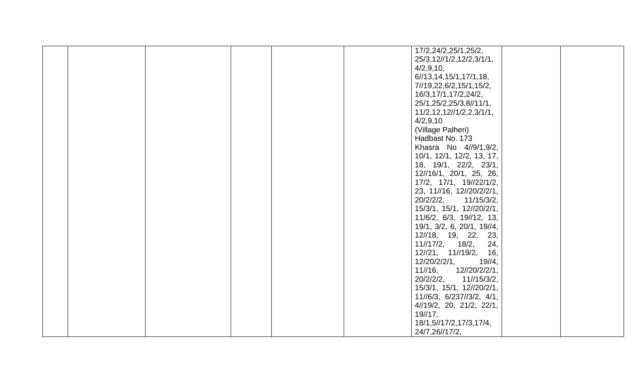|  |  | 17/2,24/2,25/1,25/2,          |  |
|--|--|-------------------------------|--|
|  |  | 25/3,12//1/2,12/2,3/1/1,      |  |
|  |  | 4/2,9,10,                     |  |
|  |  | 6/13, 14, 15/1, 17/1, 18,     |  |
|  |  |                               |  |
|  |  | 7//19,22,6/2,15/1,15/2,       |  |
|  |  | 16/3,17/1,17/2,24/2,          |  |
|  |  | 25/1,25/2,25/3,8//11/1,       |  |
|  |  | $11/2, 12, 12$ //1/2,2,3/1/1, |  |
|  |  | 4/2,9,10                      |  |
|  |  | (Village Palheri)             |  |
|  |  | Hadbast No. 173               |  |
|  |  |                               |  |
|  |  | Khasra No 4//9/1,9/2,         |  |
|  |  | 10/1, 12/1, 12/2, 13, 17,     |  |
|  |  | 18, 19/1, 22/2, 23/1,         |  |
|  |  | 12//16/1, 20/1, 25, 26,       |  |
|  |  | 17/2, 17/1, 19//22/1/2,       |  |
|  |  | 23, 11//16, 12//20/2/2/1,     |  |
|  |  | 20/2/2/2,<br>11/15/3/2,       |  |
|  |  | 15/3/1, 15/1, 12//20/2/1,     |  |
|  |  |                               |  |
|  |  | 11/6/2, 6/3, 19//12, 13,      |  |
|  |  | 19/1, 3/2, 6, 20/1, 19//4,    |  |
|  |  | 12//18, 19, 22, 23,           |  |
|  |  | 24,<br>11//17/2, 18/2,        |  |
|  |  | 12//21, 11//19/2,<br>16,      |  |
|  |  | 12/20/2/2/1,<br>19/4,         |  |
|  |  | 12//20/2/2/1,<br>$11/16$ ,    |  |
|  |  | 20/2/2/2,<br>11//15/3/2,      |  |
|  |  |                               |  |
|  |  | 15/3/1, 15/1, 12//20/2/1,     |  |
|  |  | 11//6/3, 6/237//3/2, 4/1,     |  |
|  |  | 4//19/2, 20, 21/2, 22/1,      |  |
|  |  | 19/17,                        |  |
|  |  | 18/1,5//17/2,17/3,17/4,       |  |
|  |  | 24/7,26//17/2,                |  |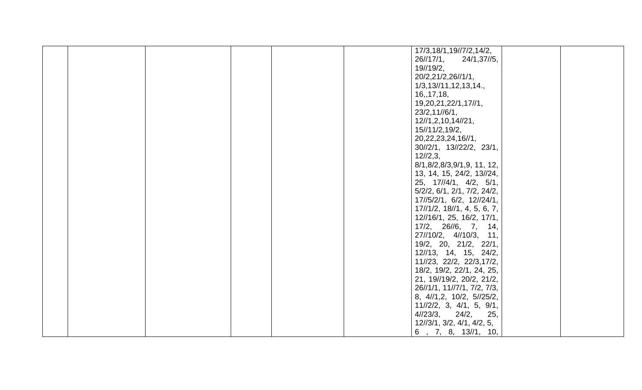|  |  |  | 17/3,18/1,19//7/2,14/2,                               |  |
|--|--|--|-------------------------------------------------------|--|
|  |  |  | 26//17/1,<br>24/1,37//5,                              |  |
|  |  |  | 19//19/2,                                             |  |
|  |  |  | 20/2,21/2,26//1/1,                                    |  |
|  |  |  | 1/3, 13/11, 12, 13, 14.                               |  |
|  |  |  | 16, 17, 18,                                           |  |
|  |  |  |                                                       |  |
|  |  |  | 19, 20, 21, 22/1, 17//1,                              |  |
|  |  |  | 23/2,11//6/1,                                         |  |
|  |  |  | 12/1, 2, 10, 14/21,                                   |  |
|  |  |  | 15//11/2,19/2,                                        |  |
|  |  |  | 20, 22, 23, 24, 16//1,                                |  |
|  |  |  | 30//2/1, 13//22/2, 23/1,                              |  |
|  |  |  | 12/2,3,                                               |  |
|  |  |  | 8/1,8/2,8/3,9/1,9, 11, 12,                            |  |
|  |  |  | 13, 14, 15, 24/2, 13//24,                             |  |
|  |  |  | $25, 17 \frac{1}{4}$ , $4 \frac{2}{2}, 5 \frac{1}{1}$ |  |
|  |  |  |                                                       |  |
|  |  |  | 5/2/2, 6/1, 2/1, 7/2, 24/2,                           |  |
|  |  |  | 17//5/2/1, 6/2, 12//24/1,                             |  |
|  |  |  | $17\frac{1}{2}$ , $18\frac{1}{1}$ , 4, 5, 6, 7,       |  |
|  |  |  | 12//16/1, 25, 16/2, 17/1,                             |  |
|  |  |  | 17/2, 26//6, 7, 14,                                   |  |
|  |  |  | 27//10/2, 4//10/3, 11,                                |  |
|  |  |  | 19/2, 20, 21/2, 22/1,                                 |  |
|  |  |  | 12//13, 14, 15, 24/2,                                 |  |
|  |  |  | 11//23, 22/2, 22/3,17/2,                              |  |
|  |  |  | 18/2, 19/2, 22/1, 24, 25,                             |  |
|  |  |  |                                                       |  |
|  |  |  | 21, 19//19/2, 20/2, 21/2,                             |  |
|  |  |  | 26//1/1, 11//7/1, 7/2, 7/3,                           |  |
|  |  |  | 8, 4//1,2, 10/2, 5//25/2,                             |  |
|  |  |  | $11//2/2$ , 3, 4/1, 5, 9/1,                           |  |
|  |  |  | 4/23/3,<br>24/2,<br>25,                               |  |
|  |  |  | 12//3/1, 3/2, 4/1, 4/2, 5,                            |  |
|  |  |  | 6, 7, 8, 13/1, 10,                                    |  |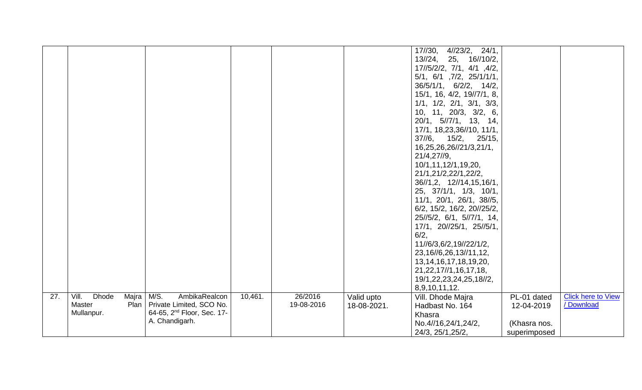|     |                                                         |         |            |             | 17//30, 4//23/2, 24/1,                  |              |                           |
|-----|---------------------------------------------------------|---------|------------|-------------|-----------------------------------------|--------------|---------------------------|
|     |                                                         |         |            |             |                                         |              |                           |
|     |                                                         |         |            |             | 13//24, 25, 16//10/2,                   |              |                           |
|     |                                                         |         |            |             | 17//5/2/2, 7/1, 4/1, 4/2,               |              |                           |
|     |                                                         |         |            |             | 5/1, 6/1, 7/2, 25/1/1/1,                |              |                           |
|     |                                                         |         |            |             | $36/5/1/1$ , $6/2/2$ , $14/2$ ,         |              |                           |
|     |                                                         |         |            |             | 15/1, 16, 4/2, 19//7/1, 8,              |              |                           |
|     |                                                         |         |            |             | $1/1$ , $1/2$ , $2/1$ , $3/1$ , $3/3$ , |              |                           |
|     |                                                         |         |            |             | 10, 11, 20/3, 3/2, 6,                   |              |                           |
|     |                                                         |         |            |             | $20/1$ , $5//7/1$ , 13, 14,             |              |                           |
|     |                                                         |         |            |             | 17/1, 18,23,36//10, 11/1,               |              |                           |
|     |                                                         |         |            |             | $37//6$ , $15/2$ , $25/15$ ,            |              |                           |
|     |                                                         |         |            |             | 16,25,26,26//21/3,21/1,                 |              |                           |
|     |                                                         |         |            |             | 21/4,27/9,                              |              |                           |
|     |                                                         |         |            |             | 10/1,11,12/1,19,20,                     |              |                           |
|     |                                                         |         |            |             | 21/1,21/2,22/1,22/2,                    |              |                           |
|     |                                                         |         |            |             |                                         |              |                           |
|     |                                                         |         |            |             | 36//1,2, 12//14,15,16/1,                |              |                           |
|     |                                                         |         |            |             | 25, 37/1/1, 1/3, 10/1,                  |              |                           |
|     |                                                         |         |            |             | 11/1, 20/1, 26/1, 38//5,                |              |                           |
|     |                                                         |         |            |             | 6/2, 15/2, 16/2, 20//25/2,              |              |                           |
|     |                                                         |         |            |             | 25//5/2, 6/1, 5//7/1, 14,               |              |                           |
|     |                                                         |         |            |             | 17/1, 20//25/1, 25//5/1,                |              |                           |
|     |                                                         |         |            |             | 6/2,                                    |              |                           |
|     |                                                         |         |            |             | 11//6/3,6/2,19//22/1/2,                 |              |                           |
|     |                                                         |         |            |             | 23, 16//6, 26, 13//11, 12,              |              |                           |
|     |                                                         |         |            |             | 13, 14, 16, 17, 18, 19, 20,             |              |                           |
|     |                                                         |         |            |             | 21, 22, 17//1, 16, 17, 18,              |              |                           |
|     |                                                         |         |            |             | 19/1,22,23,24,25,18//2,                 |              |                           |
|     |                                                         |         |            |             | 8,9,10,11,12.                           |              |                           |
| 27. | M/S.<br>Vill.<br><b>Dhode</b><br>Majra<br>AmbikaRealcon | 10,461. | 26/2016    | Valid upto  | Vill. Dhode Majra                       | PL-01 dated  | <b>Click here to View</b> |
|     | Plan<br>Private Limited, SCO No.<br>Master              |         | 19-08-2016 | 18-08-2021. | Hadbast No. 164                         | 12-04-2019   | / Download                |
|     | 64-65, 2 <sup>nd</sup> Floor, Sec. 17-<br>Mullanpur.    |         |            |             | Khasra                                  |              |                           |
|     | A. Chandigarh.                                          |         |            |             |                                         |              |                           |
|     |                                                         |         |            |             | No.4//16,24/1,24/2,                     | (Khasra nos. |                           |
|     |                                                         |         |            |             | 24/3, 25/1, 25/2,                       | superimposed |                           |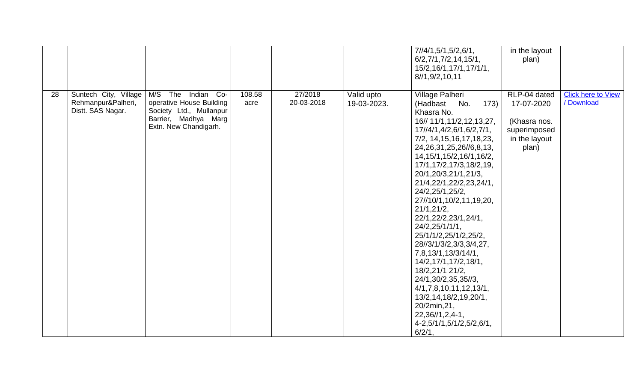|    |                                                                  |                                                                                                                               |                |                       |                           | 7/14/1, 5/1, 5/2, 6/1,<br>6/2,7/1,7/2,14,15/1,<br>15/2,16/1,17/1,17/1/1,<br>8//1,9/2,10,11                                                                                                                                                                                                                                                                                                                                                                                                                                                                                                                                                                                           | in the layout<br>plan)                                                               |                                         |
|----|------------------------------------------------------------------|-------------------------------------------------------------------------------------------------------------------------------|----------------|-----------------------|---------------------------|--------------------------------------------------------------------------------------------------------------------------------------------------------------------------------------------------------------------------------------------------------------------------------------------------------------------------------------------------------------------------------------------------------------------------------------------------------------------------------------------------------------------------------------------------------------------------------------------------------------------------------------------------------------------------------------|--------------------------------------------------------------------------------------|-----------------------------------------|
| 28 | Suntech City, Village<br>Rehmanpur&Palheri,<br>Distt. SAS Nagar. | M/S The<br>Indian Co-<br>operative House Building<br>Society Ltd., Mullanpur<br>Barrier, Madhya Marg<br>Extn. New Chandigarh. | 108.58<br>acre | 27/2018<br>20-03-2018 | Valid upto<br>19-03-2023. | Village Palheri<br>(Hadbast No.<br>173)<br>Khasra No.<br>16// 11/1,11/2,12,13,27,<br>17//4/1,4/2,6/1,6/2,7/1,<br>7/2, 14, 15, 16, 17, 18, 23,<br>24, 26, 31, 25, 26//6, 8, 13,<br>14, 15/1, 15/2, 16/1, 16/2,<br>17/1,17/2,17/3,18/2,19,<br>20/1,20/3,21/1,21/3,<br>21/4,22/1,22/2,23,24/1,<br>24/2,25/1,25/2,<br>27//10/1,10/2,11,19,20,<br>21/1,21/2,<br>22/1,22/2,23/1,24/1,<br>24/2,25/1/1/1,<br>25/1/1/2,25/1/2,25/2,<br>28//3/1/3/2,3/3,3/4,27,<br>7,8,13/1,13/3/14/1,<br>14/2,17/1,17/2,18/1,<br>18/2,21/1 21/2,<br>24/1,30/2,35,35//3,<br>4/1, 7, 8, 10, 11, 12, 13/1,<br>13/2,14,18/2,19,20/1,<br>20/2min, 21,<br>$22,36/1,2,4-1,$<br>4-2,5/1/1,5/1/2,5/2,6/1,<br>$6/2/1$ , | RLP-04 dated<br>17-07-2020<br>(Khasra nos.<br>superimposed<br>in the layout<br>plan) | <b>Click here to View</b><br>/ Download |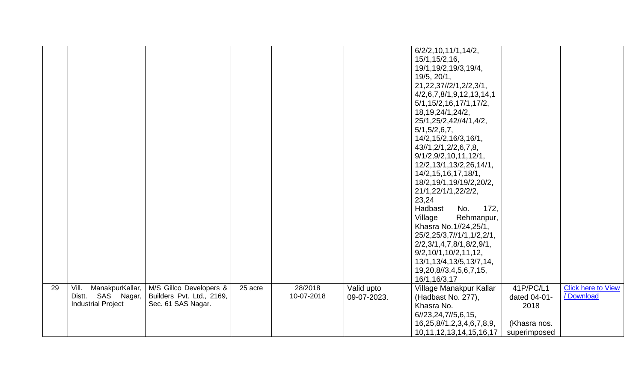|    |                           |                           |         |            |             | 6/2/2, 10, 11/1, 14/2,         |              |                           |
|----|---------------------------|---------------------------|---------|------------|-------------|--------------------------------|--------------|---------------------------|
|    |                           |                           |         |            |             | 15/1,15/2,16,                  |              |                           |
|    |                           |                           |         |            |             |                                |              |                           |
|    |                           |                           |         |            |             | 19/1, 19/2, 19/3, 19/4,        |              |                           |
|    |                           |                           |         |            |             | 19/5, 20/1,                    |              |                           |
|    |                           |                           |         |            |             | 21, 22, 37//2/1, 2/2, 3/1,     |              |                           |
|    |                           |                           |         |            |             | 4/2,6,7,8/1,9,12,13,14,1       |              |                           |
|    |                           |                           |         |            |             | 5/1, 15/2, 16, 17/1, 17/2,     |              |                           |
|    |                           |                           |         |            |             | 18, 19, 24/1, 24/2,            |              |                           |
|    |                           |                           |         |            |             | 25/1,25/2,42//4/1,4/2,         |              |                           |
|    |                           |                           |         |            |             | 5/1, 5/2, 6, 7,                |              |                           |
|    |                           |                           |         |            |             | 14/2,15/2,16/3,16/1,           |              |                           |
|    |                           |                           |         |            |             |                                |              |                           |
|    |                           |                           |         |            |             | 43//1, 2/1, 2/2, 6, 7, 8,      |              |                           |
|    |                           |                           |         |            |             | 9/1/2, 9/2, 10, 11, 12/1,      |              |                           |
|    |                           |                           |         |            |             | 12/2,13/1,13/2,26,14/1,        |              |                           |
|    |                           |                           |         |            |             | 14/2, 15, 16, 17, 18/1,        |              |                           |
|    |                           |                           |         |            |             | 18/2,19/1,19/19/2,20/2,        |              |                           |
|    |                           |                           |         |            |             | 21/1,22/1/1,22/2/2,            |              |                           |
|    |                           |                           |         |            |             | 23,24                          |              |                           |
|    |                           |                           |         |            |             | No.<br>172,<br>Hadbast         |              |                           |
|    |                           |                           |         |            |             | Village<br>Rehmanpur,          |              |                           |
|    |                           |                           |         |            |             | Khasra No.1//24,25/1,          |              |                           |
|    |                           |                           |         |            |             |                                |              |                           |
|    |                           |                           |         |            |             | 25/2,25/3,7//1/1,1/2,2/1,      |              |                           |
|    |                           |                           |         |            |             | 2/2,3/1,4,7,8/1,8/2,9/1,       |              |                           |
|    |                           |                           |         |            |             | 9/2,10/1,10/2,11,12,           |              |                           |
|    |                           |                           |         |            |             | 13/1,13/4,13/5,13/7,14,        |              |                           |
|    |                           |                           |         |            |             | 19,20,8//3,4,5,6,7,15,         |              |                           |
|    |                           |                           |         |            |             | 16/1,16/3,17                   |              |                           |
| 29 | Vill.<br>ManakpurKallar,  | M/S Gillco Developers &   | 25 acre | 28/2018    | Valid upto  | Village Manakpur Kallar        | 41P/PC/L1    | <b>Click here to View</b> |
|    | Distt. SAS Nagar,         | Builders Pvt. Ltd., 2169, |         | 10-07-2018 | 09-07-2023. | (Hadbast No. 277),             | dated 04-01- | / Download                |
|    | <b>Industrial Project</b> | Sec. 61 SAS Nagar.        |         |            |             | Khasra No.                     | 2018         |                           |
|    |                           |                           |         |            |             | 6/23,24,7/5,6,15,              |              |                           |
|    |                           |                           |         |            |             | 16,25,8//1,2,3,4,6,7,8,9,      | (Khasra nos. |                           |
|    |                           |                           |         |            |             | 10, 11, 12, 13, 14, 15, 16, 17 | superimposed |                           |
|    |                           |                           |         |            |             |                                |              |                           |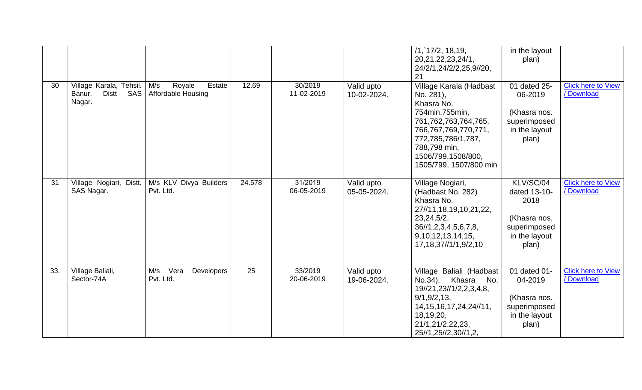|     |                                                                    |                                                      |        |                       |                           | $/1$ , 17/2, 18, 19,<br>20, 21, 22, 23, 24/1,<br>24/2/1,24/2/2,25,9//20,<br>21                                                                                                                              | in the layout<br>plan)                                                                      |                                         |
|-----|--------------------------------------------------------------------|------------------------------------------------------|--------|-----------------------|---------------------------|-------------------------------------------------------------------------------------------------------------------------------------------------------------------------------------------------------------|---------------------------------------------------------------------------------------------|-----------------------------------------|
| 30  | Village Karala, Tehsil.<br>SAS<br><b>Distt</b><br>Banur,<br>Nagar. | M/s<br>Estate<br>Royale<br><b>Affordable Housing</b> | 12.69  | 30/2019<br>11-02-2019 | Valid upto<br>10-02-2024. | Village Karala (Hadbast<br>No. 281),<br>Khasra No.<br>754min, 755min,<br>761,762,763,764,765,<br>766,767,769,770,771,<br>772,785,786/1,787,<br>788,798 min,<br>1506/799,1508/800,<br>1505/799, 1507/800 min | 01 dated 25-<br>06-2019<br>(Khasra nos.<br>superimposed<br>in the layout<br>plan)           | <b>Click here to View</b><br>/ Download |
| 31  | Village Nogiari, Distt.<br>SAS Nagar.                              | M/s KLV Divya Builders<br>Pvt. Ltd.                  | 24.578 | 31/2019<br>06-05-2019 | Valid upto<br>05-05-2024. | Village Nogiari,<br>(Hadbast No. 282)<br>Khasra No.<br>27//11,18,19,10,21,22,<br>23, 24, 5/2,<br>36/1, 2, 3, 4, 5, 6, 7, 8,<br>9,10,12,13,14,15,<br>17, 18, 37//1/1, 9/2, 10                                | KLV/SC/04<br>dated 13-10-<br>2018<br>(Khasra nos.<br>superimposed<br>in the layout<br>plan) | <b>Click here to View</b><br>/ Download |
| 33. | Village Baliali,<br>Sector-74A                                     | Vera<br>M/s<br>Developers<br>Pvt. Ltd.               | 25     | 33/2019<br>20-06-2019 | Valid upto<br>19-06-2024. | Village Baliali (Hadbast<br>Khasra<br>No.34),<br>No.<br>19//21, 23//1/2, 2, 3, 4, 8,<br>9/1, 9/2, 13,<br>14, 15, 16, 17, 24, 24//11,<br>18,19,20,<br>21/1,21/2,22,23,<br>25//1,25//2,30//1,2,               | 01 dated 01-<br>04-2019<br>(Khasra nos.<br>superimposed<br>in the layout<br>plan)           | <b>Click here to View</b><br>/ Download |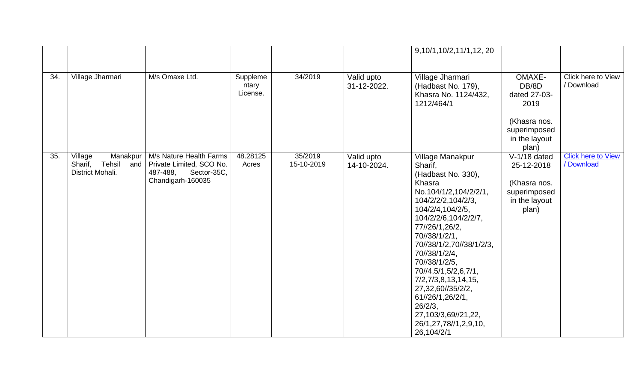|     |                                                                     |                                                                                                     |                               |                       |                           | 9,10/1,10/2,11/1,12,20                                                                                                                                                                                                                                                                                                                                                                                                      |                                                                                                 |                                         |
|-----|---------------------------------------------------------------------|-----------------------------------------------------------------------------------------------------|-------------------------------|-----------------------|---------------------------|-----------------------------------------------------------------------------------------------------------------------------------------------------------------------------------------------------------------------------------------------------------------------------------------------------------------------------------------------------------------------------------------------------------------------------|-------------------------------------------------------------------------------------------------|-----------------------------------------|
| 34. | Village Jharmari                                                    | M/s Omaxe Ltd.                                                                                      | Suppleme<br>ntary<br>License. | 34/2019               | Valid upto<br>31-12-2022. | Village Jharmari<br>(Hadbast No. 179),<br>Khasra No. 1124/432,<br>1212/464/1                                                                                                                                                                                                                                                                                                                                                | OMAXE-<br>DB/8D<br>dated 27-03-<br>2019<br>(Khasra nos.<br>superimposed<br>in the layout        | Click here to View<br>/ Download        |
| 35. | Village<br>Manakpur<br>Sharif,<br>Tehsil<br>and<br>District Mohali. | M/s Nature Health Farms<br>Private Limited, SCO No.<br>487-488,<br>Sector-35C,<br>Chandigarh-160035 | 48.28125<br>Acres             | 35/2019<br>15-10-2019 | Valid upto<br>14-10-2024. | Village Manakpur<br>Sharif,<br>(Hadbast No. 330),<br>Khasra<br>No.104/1/2,104/2/2/1,<br>104/2/2/2,104/2/3,<br>104/2/4,104/2/5,<br>104/2/2/6,104/2/2/7,<br>77//26/1,26/2,<br>70//38/1/2/1,<br>70//38/1/2,70//38/1/2/3,<br>70//38/1/2/4,<br>70//38/1/2/5,<br>70//4,5/1,5/2,6,7/1,<br>7/2,7/3,8,13,14,15,<br>27,32,60//35/2/2,<br>61//26/1,26/2/1,<br>26/2/3,<br>27, 103/3, 69//21, 22,<br>26/1,27,78//1,2,9,10,<br>26,104/2/1 | plan)<br>$V-1/18$ dated<br>25-12-2018<br>(Khasra nos.<br>superimposed<br>in the layout<br>plan) | <b>Click here to View</b><br>/ Download |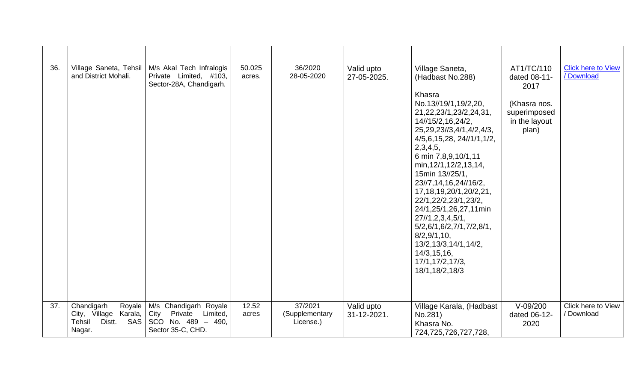| 36. | Village Saneta, Tehsil<br>and District Mohali.                                            | M/s Akal Tech Infralogis<br>Private Limited, #103,<br>Sector-28A, Chandigarh.             | 50.025<br>acres. | 36/2020<br>28-05-2020                  | Valid upto<br>27-05-2025. | Village Saneta,<br>(Hadbast No.288)<br>Khasra<br>No.13//19/1,19/2,20,<br>21, 22, 23/1, 23/2, 24, 31,<br>14//15/2,16,24/2,<br>25, 29, 23//3, 4/1, 4/2, 4/3,<br>4/5, 6, 15, 28, 24/11/1, 1/2,<br>2,3,4,5,<br>6 min 7,8,9,10/1,11<br>min, 12/1, 12/2, 13, 14,<br>15min 13//25/1.<br>23//7,14,16,24//16/2,<br>17, 18, 19, 20/1, 20/2, 21,<br>22/1,22/2,23/1,23/2,<br>24/1,25/1,26,27,11min<br>27/1, 2, 3, 4, 5/1,<br>5/2,6/1,6/2,7/1,7/2,8/1,<br>8/2,9/1,10,<br>13/2,13/3,14/1,14/2,<br>14/3, 15, 16,<br>17/1,17/2,17/3,<br>18/1,18/2,18/3 | AT1/TC/110<br>dated 08-11-<br>2017<br>(Khasra nos.<br>superimposed<br>in the layout<br>plan) | <b>Click here to View</b><br>/ Download |
|-----|-------------------------------------------------------------------------------------------|-------------------------------------------------------------------------------------------|------------------|----------------------------------------|---------------------------|----------------------------------------------------------------------------------------------------------------------------------------------------------------------------------------------------------------------------------------------------------------------------------------------------------------------------------------------------------------------------------------------------------------------------------------------------------------------------------------------------------------------------------------|----------------------------------------------------------------------------------------------|-----------------------------------------|
| 37. | Royale<br>Chandigarh<br>City, Village Karala,<br>Tehsil<br><b>SAS</b><br>Distt.<br>Nagar. | M/s Chandigarh Royale<br>City Private Limited,<br>SCO No. 489 - 490,<br>Sector 35-C, CHD. | 12.52<br>acres   | 37/2021<br>(Supplementary<br>License.) | Valid upto<br>31-12-2021. | Village Karala, (Hadbast<br>No.281)<br>Khasra No.<br>724,725,726,727,728,                                                                                                                                                                                                                                                                                                                                                                                                                                                              | $V-09/200$<br>dated 06-12-<br>2020                                                           | Click here to View<br>/ Download        |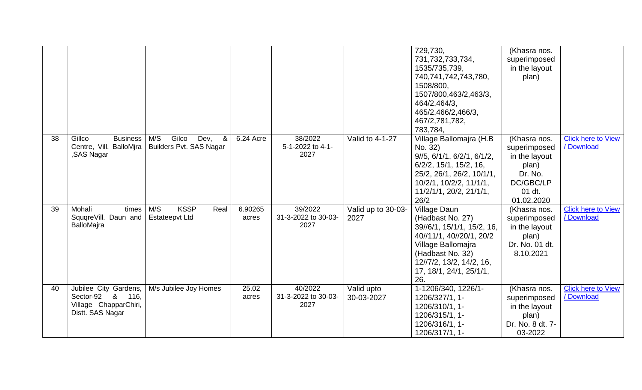|    |                                                                                           |                                                             |                  |                                        |                            | 729,730,<br>731,732,733,734,<br>1535/735,739,<br>740,741,742,743,780,<br>1508/800,<br>1507/800,463/2,463/3,<br>464/2,464/3,<br>465/2,466/2,466/3,<br>467/2,781,782,<br>783,784,                    | (Khasra nos.<br>superimposed<br>in the layout<br>plan)                                                 |                                         |
|----|-------------------------------------------------------------------------------------------|-------------------------------------------------------------|------------------|----------------------------------------|----------------------------|----------------------------------------------------------------------------------------------------------------------------------------------------------------------------------------------------|--------------------------------------------------------------------------------------------------------|-----------------------------------------|
| 38 | Gillco<br><b>Business</b><br>Centre, Vill. BalloMjra<br>,SAS Nagar                        | M/S<br>Gilco<br>Dev,<br>&<br><b>Builders Pvt. SAS Nagar</b> | 6.24 Acre        | 38/2022<br>5-1-2022 to 4-1-<br>2027    | Valid to 4-1-27            | Village Ballomajra (H.B<br>No. 32)<br>9/5, 6/1/1, 6/2/1, 6/1/2,<br>$6/2/2$ , 15/1, 15/2, 16,<br>25/2, 26/1, 26/2, 10/1/1,<br>$10/2/1$ , $10/2/2$ , $11/1/1$ ,<br>11/2/1/1, 20/2, 21/1/1,<br>26/2   | (Khasra nos.<br>superimposed<br>in the layout<br>plan)<br>Dr. No.<br>DC/GBC/LP<br>01 dt.<br>01.02.2020 | <b>Click here to View</b><br>/Download  |
| 39 | Mohali<br>times<br>SquqreVill. Daun and<br>BalloMajra                                     | <b>KSSP</b><br>M/S<br>Real<br><b>Estateepvt Ltd</b>         | 6.90265<br>acres | 39/2022<br>31-3-2022 to 30-03-<br>2027 | Valid up to 30-03-<br>2027 | Village Daun<br>(Hadbast No. 27)<br>39//6/1, 15/1/1, 15/2, 16,<br>40//11/1, 40//20/1, 20/2<br>Village Ballomajra<br>(Hadbast No. 32)<br>12//7/2, 13/2, 14/2, 16,<br>17, 18/1, 24/1, 25/1/1,<br>26. | (Khasra nos.<br>superimposed<br>in the layout<br>plan)<br>Dr. No. 01 dt.<br>8.10.2021                  | <b>Click here to View</b><br>/ Download |
| 40 | Jubilee City Gardens,<br>Sector-92 &<br>116,<br>Village ChapparChiri,<br>Distt. SAS Nagar | M/s Jubilee Joy Homes                                       | 25.02<br>acres   | 40/2022<br>31-3-2022 to 30-03-<br>2027 | Valid upto<br>30-03-2027   | 1-1206/340, 1226/1-<br>1206/327/1, 1-<br>1206/310/1, 1-<br>1206/315/1, 1-<br>1206/316/1, 1-<br>1206/317/1, 1-                                                                                      | (Khasra nos.<br>superimposed<br>in the layout<br>plan)<br>Dr. No. 8 dt. 7-<br>03-2022                  | <b>Click here to View</b><br>/ Download |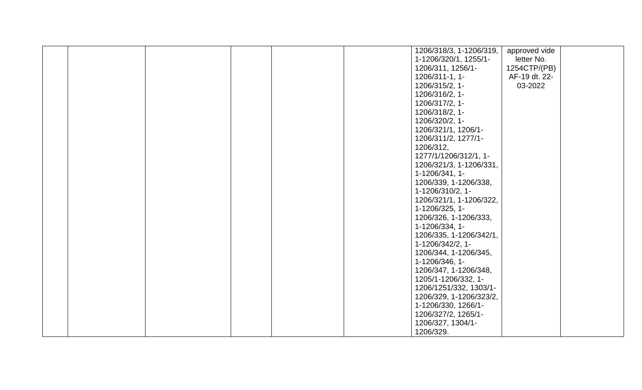|  |  | 1206/318/3, 1-1206/319, | approved vide |  |
|--|--|-------------------------|---------------|--|
|  |  | 1-1206/320/1, 1255/1-   | letter No.    |  |
|  |  | 1206/311, 1256/1-       | 1254CTP/(PB)  |  |
|  |  | 1206/311-1, 1-          | AF-19 dt. 22- |  |
|  |  | 1206/315/2, 1-          | 03-2022       |  |
|  |  | 1206/316/2, 1-          |               |  |
|  |  | 1206/317/2, 1-          |               |  |
|  |  | 1206/318/2, 1-          |               |  |
|  |  | 1206/320/2, 1-          |               |  |
|  |  | 1206/321/1, 1206/1-     |               |  |
|  |  | 1206/311/2, 1277/1-     |               |  |
|  |  | 1206/312,               |               |  |
|  |  | 1277/1/1206/312/1, 1-   |               |  |
|  |  | 1206/321/3, 1-1206/331, |               |  |
|  |  | 1-1206/341, 1-          |               |  |
|  |  | 1206/339, 1-1206/338,   |               |  |
|  |  | 1-1206/310/2, 1-        |               |  |
|  |  | 1206/321/1, 1-1206/322, |               |  |
|  |  | 1-1206/325, 1-          |               |  |
|  |  | 1206/326, 1-1206/333,   |               |  |
|  |  | 1-1206/334, 1-          |               |  |
|  |  | 1206/335, 1-1206/342/1, |               |  |
|  |  | 1-1206/342/2, 1-        |               |  |
|  |  | 1206/344, 1-1206/345,   |               |  |
|  |  | 1-1206/346, 1-          |               |  |
|  |  | 1206/347, 1-1206/348,   |               |  |
|  |  | 1205/1-1206/332, 1-     |               |  |
|  |  | 1206/1251/332, 1303/1-  |               |  |
|  |  | 1206/329, 1-1206/323/2, |               |  |
|  |  | 1-1206/330, 1266/1-     |               |  |
|  |  | 1206/327/2, 1265/1-     |               |  |
|  |  | 1206/327, 1304/1-       |               |  |
|  |  | 1206/329.               |               |  |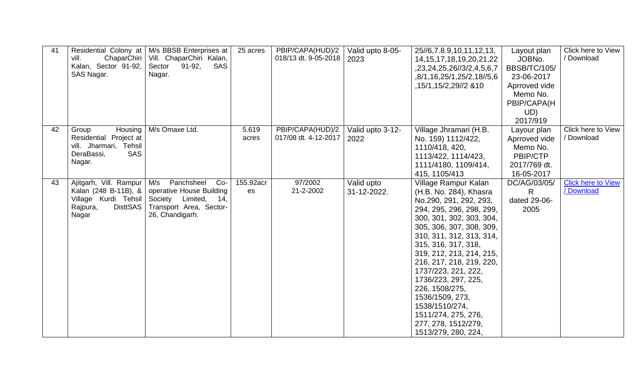| 41 | Residential Colony at<br>ChaparChiri<br>vill.<br>Kalan, Sector 91-92,<br>SAS Nagar.                            | M/s BBSB Enterprises at<br>Vill. ChaparChiri Kalan,<br>Sector<br>$91-92,$<br>SAS<br>Nagar.                                      | 25 acres        | PBIP/CAPA(HUD)/2<br>018/13 dt. 9-05-2018 | Valid upto 8-05-<br>2023  | 25//6,7.8.9,10,11,12,13,<br>14, 15, 17, 18, 19, 20, 21, 22<br>,23,24,25,26//3/2,4,5,6,7<br>,8/1,16,25/1,25/2,18//5,6<br>,15/1,15/2,29//2 & 10                                                                                                                                                                                                                                                                                                     | Layout plan<br>JOBNo.<br><b>BBSB/TC/105/</b><br>23-06-2017<br>Aprroved vide<br>Memo No.<br>PBIP/CAPA(H<br>UD)<br>2017/919 | Click here to View<br>/ Download        |
|----|----------------------------------------------------------------------------------------------------------------|---------------------------------------------------------------------------------------------------------------------------------|-----------------|------------------------------------------|---------------------------|---------------------------------------------------------------------------------------------------------------------------------------------------------------------------------------------------------------------------------------------------------------------------------------------------------------------------------------------------------------------------------------------------------------------------------------------------|---------------------------------------------------------------------------------------------------------------------------|-----------------------------------------|
| 42 | Housing<br>Group<br>Residential Project at<br>vill. Jharmari, Tehsil<br><b>SAS</b><br>DeraBassi,<br>Nagar.     | M/s Omaxe Ltd.                                                                                                                  | 5.619<br>acres  | PBIP/CAPA(HUD)/2<br>017/08 dt. 4-12-2017 | Valid upto 3-12-<br>2022  | Village Jhramari (H.B.<br>No. 159) 1112/422,<br>1110/418, 420,<br>1113/422, 1114/423,<br>1111/4180, 1109/414,<br>415, 1105/413                                                                                                                                                                                                                                                                                                                    | Layour plan<br>Aprroved vide<br>Memo No.<br>PBIP/CTP<br>2017/769 dt.<br>16-05-2017                                        | Click here to View<br>/ Download        |
| 43 | Ajitgarh, Vill. Rampur<br>Kalan (248 B-11B), &<br>Village Kurdi Tehsil<br><b>DisttSAS</b><br>Rajpura,<br>Nagar | M/s<br>Panchsheel<br>$Co-$<br>operative House Building<br>Society Limited,<br>14,<br>Transport Area, Sector-<br>26, Chandigarh. | 155.92acr<br>es | 97/2002<br>21-2-2002                     | Valid upto<br>31-12-2022. | Village Rampur Kalan<br>(H.B. No. 284), Khasra<br>No.290, 291, 292, 293,<br>294, 295, 296, 298, 299,<br>300, 301, 302, 303, 304,<br>305, 306, 307, 308, 309,<br>310, 311, 312, 313, 314,<br>315, 316, 317, 318,<br>319, 212, 213, 214, 215,<br>216, 217, 218, 219, 220,<br>1737/223, 221, 222,<br>1736/223, 297, 225,<br>226, 1508/275,<br>1536/1509, 273,<br>1538/1510/274,<br>1511/274, 275, 276,<br>277, 278, 1512/279,<br>1513/279, 280, 224, | DC/AG/03/05/<br>R.<br>dated 29-06-<br>2005                                                                                | <b>Click here to View</b><br>/ Download |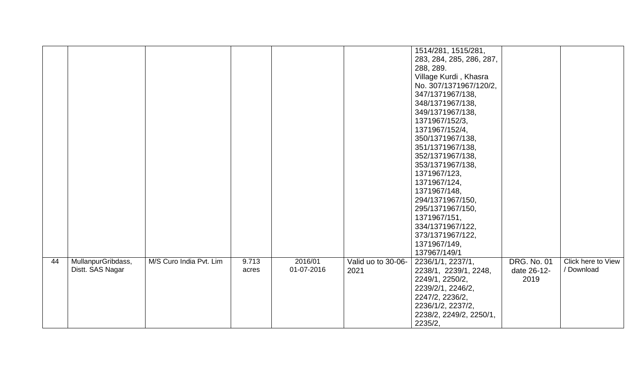|    |                    |                         |       |            |                    | 1514/281, 1515/281,      |                    |                    |
|----|--------------------|-------------------------|-------|------------|--------------------|--------------------------|--------------------|--------------------|
|    |                    |                         |       |            |                    | 283, 284, 285, 286, 287, |                    |                    |
|    |                    |                         |       |            |                    | 288, 289.                |                    |                    |
|    |                    |                         |       |            |                    | Village Kurdi, Khasra    |                    |                    |
|    |                    |                         |       |            |                    | No. 307/1371967/120/2,   |                    |                    |
|    |                    |                         |       |            |                    | 347/1371967/138,         |                    |                    |
|    |                    |                         |       |            |                    | 348/1371967/138,         |                    |                    |
|    |                    |                         |       |            |                    | 349/1371967/138,         |                    |                    |
|    |                    |                         |       |            |                    | 1371967/152/3,           |                    |                    |
|    |                    |                         |       |            |                    | 1371967/152/4,           |                    |                    |
|    |                    |                         |       |            |                    | 350/1371967/138,         |                    |                    |
|    |                    |                         |       |            |                    | 351/1371967/138,         |                    |                    |
|    |                    |                         |       |            |                    | 352/1371967/138,         |                    |                    |
|    |                    |                         |       |            |                    | 353/1371967/138,         |                    |                    |
|    |                    |                         |       |            |                    | 1371967/123,             |                    |                    |
|    |                    |                         |       |            |                    | 1371967/124,             |                    |                    |
|    |                    |                         |       |            |                    | 1371967/148,             |                    |                    |
|    |                    |                         |       |            |                    | 294/1371967/150,         |                    |                    |
|    |                    |                         |       |            |                    | 295/1371967/150,         |                    |                    |
|    |                    |                         |       |            |                    | 1371967/151,             |                    |                    |
|    |                    |                         |       |            |                    | 334/1371967/122,         |                    |                    |
|    |                    |                         |       |            |                    | 373/1371967/122,         |                    |                    |
|    |                    |                         |       |            |                    | 1371967/149,             |                    |                    |
|    |                    |                         |       |            |                    | 137967/149/1             |                    |                    |
| 44 | MullanpurGribdass, | M/S Curo India Pvt. Lim | 9.713 | 2016/01    | Valid uo to 30-06- | 2236/1/1, 2237/1,        | <b>DRG. No. 01</b> | Click here to View |
|    | Distt. SAS Nagar   |                         | acres | 01-07-2016 | 2021               | 2238/1, 2239/1, 2248,    | date 26-12-        | / Download         |
|    |                    |                         |       |            |                    | 2249/1, 2250/2,          | 2019               |                    |
|    |                    |                         |       |            |                    | 2239/2/1, 2246/2,        |                    |                    |
|    |                    |                         |       |            |                    | 2247/2, 2236/2,          |                    |                    |
|    |                    |                         |       |            |                    | 2236/1/2, 2237/2,        |                    |                    |
|    |                    |                         |       |            |                    | 2238/2, 2249/2, 2250/1,  |                    |                    |
|    |                    |                         |       |            |                    | 2235/2,                  |                    |                    |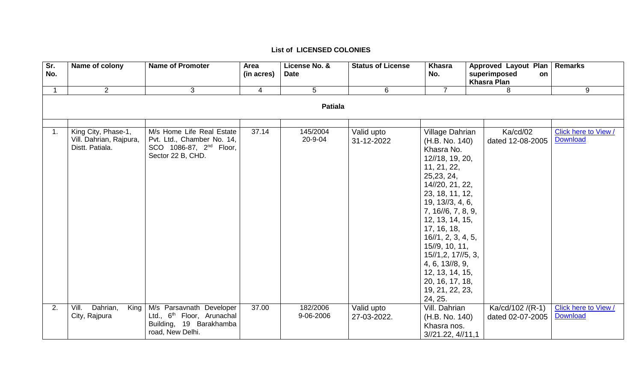| Sr.<br>No.       | Name of colony                                                    | <b>Name of Promoter</b>                                                                                             | Area<br>(in acres) | License No. &<br><b>Date</b> | <b>Status of License</b>  | <b>Khasra</b><br>No.                                                                                                                                                                                                                                                                                                                                                   | Approved Layout Plan  <br>superimposed<br>on | Remarks                                 |
|------------------|-------------------------------------------------------------------|---------------------------------------------------------------------------------------------------------------------|--------------------|------------------------------|---------------------------|------------------------------------------------------------------------------------------------------------------------------------------------------------------------------------------------------------------------------------------------------------------------------------------------------------------------------------------------------------------------|----------------------------------------------|-----------------------------------------|
|                  |                                                                   |                                                                                                                     |                    |                              |                           |                                                                                                                                                                                                                                                                                                                                                                        | <b>Khasra Plan</b>                           |                                         |
|                  | $2^{\circ}$                                                       | 3                                                                                                                   | $\overline{4}$     | 5                            | 6                         | $\overline{7}$                                                                                                                                                                                                                                                                                                                                                         | 8                                            | 9                                       |
|                  |                                                                   |                                                                                                                     |                    | <b>Patiala</b>               |                           |                                                                                                                                                                                                                                                                                                                                                                        |                                              |                                         |
|                  |                                                                   |                                                                                                                     |                    |                              |                           |                                                                                                                                                                                                                                                                                                                                                                        |                                              |                                         |
| $\overline{1}$ . | King City, Phase-1,<br>Vill. Dahrian, Rajpura,<br>Distt. Patiala. | M/s Home Life Real Estate<br>Pvt. Ltd., Chamber No. 14,<br>SCO 1086-87, 2 <sup>nd</sup> Floor,<br>Sector 22 B, CHD. | 37.14              | 145/2004<br>20-9-04          | Valid upto<br>31-12-2022  | Village Dahrian<br>(H.B. No. 140)<br>Khasra No.<br>12//18, 19, 20,<br>11, 21, 22,<br>25, 23, 24,<br>14//20, 21, 22,<br>23, 18, 11, 12,<br>19, 13//3, 4, 6,<br>7, 16//6, 7, 8, 9,<br>12, 13, 14, 15,<br>17, 16, 18,<br>16/1, 2, 3, 4, 5,<br>15//9, 10, 11,<br>15//1,2, 17//5, 3,<br>4, 6, 13//8, 9,<br>12, 13, 14, 15,<br>20, 16, 17, 18,<br>19, 21, 22, 23,<br>24, 25. | Ka/cd/02<br>dated 12-08-2005                 | Click here to View /<br><b>Download</b> |
| 2.               | Dahrian,<br>Vill.<br>King<br>City, Rajpura                        | M/s Parsavnath Developer<br>Ltd., 6 <sup>th</sup> Floor, Arunachal<br>Building, 19 Barakhamba<br>road, New Delhi.   | 37.00              | 182/2006<br>9-06-2006        | Valid upto<br>27-03-2022. | Vill. Dahrian<br>(H.B. No. 140)<br>Khasra nos.<br>3/21.22, 4/11.1                                                                                                                                                                                                                                                                                                      | Ka/cd/102 /(R-1)<br>dated 02-07-2005         | Click here to View /<br>Download        |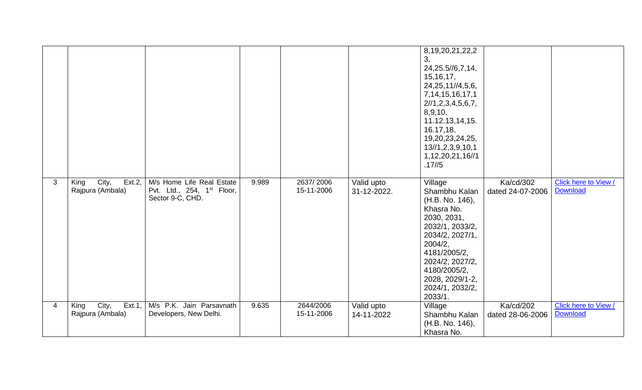|   |                                                |                                                                                         |       |                         |                           | 8, 19, 20, 21, 22, 2<br>3,<br>24, 25. 5//6, 7, 14,<br>15, 16, 17,<br>24, 25, 11//4, 5, 6,<br>7, 14, 15, 16, 17, 1<br>2/1, 2, 3, 4, 5, 6, 7,<br>8,9,10,<br>11.12.13,14,15.<br>16.17, 18,<br>19,20,23,24,25,<br>13//1,2,3,9,10,1<br>1, 12, 20, 21, 16//1<br>.17/5 |                               |                                         |
|---|------------------------------------------------|-----------------------------------------------------------------------------------------|-------|-------------------------|---------------------------|-----------------------------------------------------------------------------------------------------------------------------------------------------------------------------------------------------------------------------------------------------------------|-------------------------------|-----------------------------------------|
| 3 | City,<br>King<br>$Ext.2$ ,<br>Rajpura (Ambala) | M/s Home Life Real Estate<br>Pvt. Ltd., 254, 1 <sup>st</sup> Floor,<br>Sector 9-C, CHD. | 9.989 | 2637/2006<br>15-11-2006 | Valid upto<br>31-12-2022. | Village<br>Shambhu Kalan<br>(H.B. No. 146),<br>Khasra No.<br>2030, 2031,<br>2032/1, 2033/2,<br>2034/2, 2027/1,<br>2004/2,<br>4181/2005/2,<br>2024/2, 2027/2,<br>4180/2005/2,<br>2028, 2029/1-2,<br>2024/1, 2032/2,<br>2033/1.                                   | Ka/cd/302<br>dated 24-07-2006 | Click here to View /<br><b>Download</b> |
| 4 | City,<br>Ext.1,<br>King<br>Rajpura (Ambala)    | M/s P.K. Jain Parsavnath<br>Developers, New Delhi.                                      | 9.635 | 2644/2006<br>15-11-2006 | Valid upto<br>14-11-2022  | Village<br>Shambhu Kalan<br>(H.B. No. 146),<br>Khasra No.                                                                                                                                                                                                       | Ka/cd/202<br>dated 28-06-2006 | Click here to View /<br><b>Download</b> |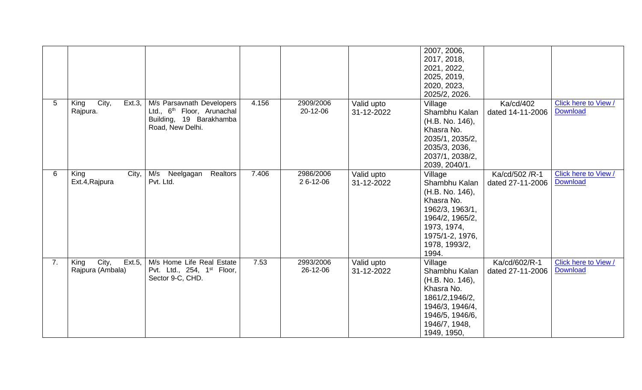|    |                                                |                                                                                                                    |       |                       |                          | 2007, 2006,<br>2017, 2018,<br>2021, 2022,<br>2025, 2019,<br>2020, 2023,<br>2025/2, 2026.                                                                    |                                    |                                         |
|----|------------------------------------------------|--------------------------------------------------------------------------------------------------------------------|-------|-----------------------|--------------------------|-------------------------------------------------------------------------------------------------------------------------------------------------------------|------------------------------------|-----------------------------------------|
| 5  | City,<br>$Ext.3$ ,<br>King<br>Rajpura.         | M/s Parsavnath Developers<br>Ltd., 6 <sup>th</sup> Floor, Arunachal<br>Building, 19 Barakhamba<br>Road, New Delhi. | 4.156 | 2909/2006<br>20-12-06 | Valid upto<br>31-12-2022 | Village<br>Shambhu Kalan<br>(H.B. No. 146),<br>Khasra No.<br>2035/1, 2035/2,<br>2035/3, 2036,<br>2037/1, 2038/2,<br>2039, 2040/1.                           | Ka/cd/402<br>dated 14-11-2006      | Click here to View /<br><b>Download</b> |
| 6  | King<br>City,<br>Ext.4, Rajpura                | M/s<br>Neelgagan<br>Realtors<br>Pvt. Ltd.                                                                          | 7.406 | 2986/2006<br>26-12-06 | Valid upto<br>31-12-2022 | Village<br>Shambhu Kalan<br>(H.B. No. 146),<br>Khasra No.<br>1962/3, 1963/1,<br>1964/2, 1965/2,<br>1973, 1974,<br>1975/1-2, 1976,<br>1978, 1993/2,<br>1994. | Ka/cd/502 /R-1<br>dated 27-11-2006 | Click here to View /<br><b>Download</b> |
| 7. | City,<br>$Ext.5$ ,<br>King<br>Rajpura (Ambala) | M/s Home Life Real Estate<br>Pvt. Ltd., 254, 1 <sup>st</sup> Floor,<br>Sector 9-C, CHD.                            | 7.53  | 2993/2006<br>26-12-06 | Valid upto<br>31-12-2022 | Village<br>Shambhu Kalan<br>(H.B. No. 146),<br>Khasra No.<br>1861/2,1946/2,<br>1946/3, 1946/4,<br>1946/5, 1946/6,<br>1946/7, 1948,<br>1949, 1950,           | Ka/cd/602/R-1<br>dated 27-11-2006  | Click here to View /<br><b>Download</b> |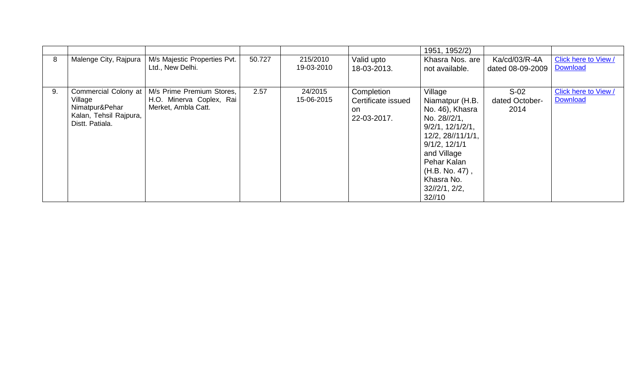|    |                                                                                                |                                                                              |        |                        |                                                        | 1951, 1952/2)                                                                                                                                                                                                          |                                   |                                         |
|----|------------------------------------------------------------------------------------------------|------------------------------------------------------------------------------|--------|------------------------|--------------------------------------------------------|------------------------------------------------------------------------------------------------------------------------------------------------------------------------------------------------------------------------|-----------------------------------|-----------------------------------------|
| 8  | Malenge City, Rajpura                                                                          | M/s Majestic Properties Pvt.<br>Ltd., New Delhi.                             | 50.727 | 215/2010<br>19-03-2010 | Valid upto<br>18-03-2013.                              | Khasra Nos. are<br>not available.                                                                                                                                                                                      | Ka/cd/03/R-4A<br>dated 08-09-2009 | Click here to View /<br>Download        |
| 9. | Commercial Colony at<br>Village<br>Nimatpur&Pehar<br>Kalan, Tehsil Rajpura,<br>Distt. Patiala. | M/s Prime Premium Stores,<br>H.O. Minerva Coplex, Rai<br>Merket, Ambla Catt. | 2.57   | 24/2015<br>15-06-2015  | Completion<br>Certificate issued<br>on.<br>22-03-2017. | Village<br>Niamatpur (H.B.<br>No. 46), Khasra<br>No. 28//2/1,<br>9/2/1, 12/1/2/1,<br>12/2, 28//11/1/1,<br>$9/1/2$ , $12/1/1$<br>and Village<br>Pehar Kalan<br>$(H.B. No. 47)$ ,<br>Khasra No.<br>32/2/1, 2/2,<br>32/10 | $S-02$<br>dated October-<br>2014  | Click here to View /<br><b>Download</b> |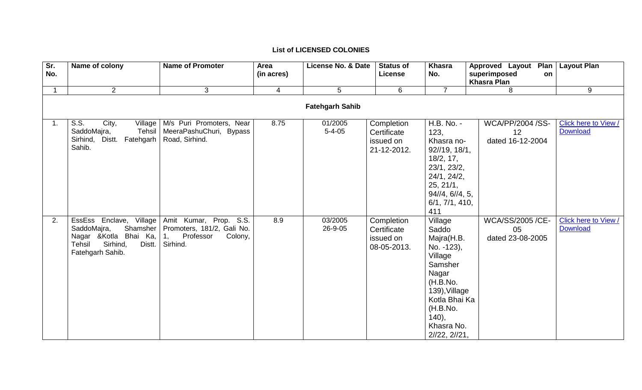| Sr. | Name of colony                                                                                                                   | <b>Name of Promoter</b>                                                                        | Area           | License No. & Date      | <b>Status of</b>                                      | <b>Khasra</b>                                                                                                                                                              | <b>Approved Layout</b>                            | Plan   Layout Plan                      |  |  |
|-----|----------------------------------------------------------------------------------------------------------------------------------|------------------------------------------------------------------------------------------------|----------------|-------------------------|-------------------------------------------------------|----------------------------------------------------------------------------------------------------------------------------------------------------------------------------|---------------------------------------------------|-----------------------------------------|--|--|
| No. |                                                                                                                                  |                                                                                                | (in acres)     |                         | <b>License</b>                                        | No.                                                                                                                                                                        | superimposed<br>on<br><b>Khasra Plan</b>          |                                         |  |  |
|     | $\overline{2}$                                                                                                                   | 3                                                                                              | $\overline{4}$ | $5\overline{)}$         | 6                                                     | $\overline{7}$                                                                                                                                                             | 8                                                 | 9                                       |  |  |
|     | <b>Fatehgarh Sahib</b>                                                                                                           |                                                                                                |                |                         |                                                       |                                                                                                                                                                            |                                                   |                                         |  |  |
| 1.  | S.S.<br>City,<br>Village<br>SaddoMajra,<br>Tehsil<br>Sirhind, Distt. Fatehgarh<br>Sahib.                                         | M/s Puri Promoters, Near<br>MeeraPashuChuri, Bypass<br>Road, Sirhind.                          | 8.75           | 01/2005<br>$5 - 4 - 05$ | Completion<br>Certificate<br>issued on<br>21-12-2012. | H.B. No. -<br>123,<br>Khasra no-<br>92//19, 18/1,<br>18/2, 17,<br>23/1, 23/2,<br>24/1, 24/2,<br>25, 21/1,<br>$94/\sqrt{4}$ , $6/\sqrt{4}$ , 5,<br>6/1, 7/1, 410,<br>411    | <b>WCA/PP/2004 /SS-</b><br>12<br>dated 16-12-2004 | Click here to View /<br><b>Download</b> |  |  |
| 2.  | EssEss Enclave, Village<br>SaddoMajra,<br>Shamsher<br>Nagar & Kotla Bhai Ka,<br>Sirhind,<br>Tehsil<br>Distt.<br>Fatehgarh Sahib. | Amit Kumar, Prop. S.S.<br>Promoters, 181/2, Gali No.<br>1,<br>Professor<br>Colony,<br>Sirhind. | 8.9            | 03/2005<br>26-9-05      | Completion<br>Certificate<br>issued on<br>08-05-2013. | Village<br>Saddo<br>Majra(H.B.<br>No. -123),<br>Village<br>Samsher<br>Nagar<br>(H.B.No.<br>139), Village<br>Kotla Bhai Ka<br>(H.B.No.<br>140,<br>Khasra No.<br>2/22, 2/21, | <b>WCA/SS/2005 /CE-</b><br>05<br>dated 23-08-2005 | Click here to View /<br><b>Download</b> |  |  |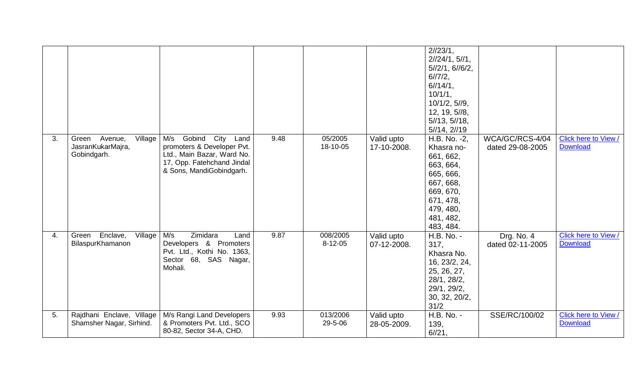|    |                                                                 |                                                                                                                                                     |      |                           |                           | 2/23/1,<br>2/24/1, 5/1,<br>5/12/1, 6/16/2,<br>6/7/2,<br>$6/14/1$ ,<br>10/1/1,<br>10/1/2, 5/9,<br>12, 19, 5//8,<br>5/13, 5/18,<br>5/14, 2/19     |                                     |                                         |
|----|-----------------------------------------------------------------|-----------------------------------------------------------------------------------------------------------------------------------------------------|------|---------------------------|---------------------------|-------------------------------------------------------------------------------------------------------------------------------------------------|-------------------------------------|-----------------------------------------|
| 3. | Village<br>Avenue,<br>Green<br>JasranKukarMajra,<br>Gobindgarh. | Gobind<br>City<br>M/s<br>Land<br>promoters & Developer Pvt.<br>Ltd., Main Bazar, Ward No.<br>17, Opp. Fatehchand Jindal<br>& Sons, MandiGobindgarh. | 9.48 | 05/2005<br>18-10-05       | Valid upto<br>17-10-2008. | H.B. No. -2,<br>Khasra no-<br>661, 662,<br>663, 664,<br>665, 666,<br>667, 668,<br>669, 670,<br>671, 478,<br>479, 480,<br>481, 482,<br>483, 484. | WCA/GC/RCS-4/04<br>dated 29-08-2005 | Click here to View /<br><b>Download</b> |
| 4. | Enclave,<br>Village<br>Green<br>BilaspurKhamanon                | M/s<br>Zimidara<br>Land<br>Developers & Promoters<br>Pvt. Ltd., Kothi No. 1363,<br>Sector 68, SAS Nagar,<br>Mohali.                                 | 9.87 | 008/2005<br>$8 - 12 - 05$ | Valid upto<br>07-12-2008. | H.B. No. -<br>317,<br>Khasra No.<br>16, 23/2, 24,<br>25, 26, 27,<br>28/1, 28/2,<br>29/1, 29/2,<br>30, 32, 20/2,<br>31/2                         | Drg. No. 4<br>dated 02-11-2005      | Click here to View /<br><b>Download</b> |
| 5. | Rajdhani Enclave, Village<br>Shamsher Nagar, Sirhind.           | M/s Rangi Land Developers<br>& Promoters Pvt. Ltd., SCO<br>80-82, Sector 34-A, CHD.                                                                 | 9.93 | 013/2006<br>29-5-06       | Valid upto<br>28-05-2009. | H.B. No. -<br>139,<br>6/21,                                                                                                                     | SSE/RC/100/02                       | Click here to View /<br><b>Download</b> |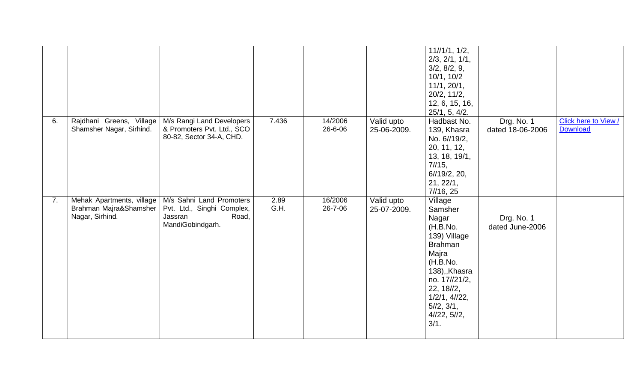|    |                                                                        |                                                                                                |              |                    |                           | 11//1/1, 1/2,<br>2/3, 2/1, 1/1,<br>3/2, 8/2, 9,<br>10/1, 10/2<br>11/1, 20/1,<br>20/2, 11/2,<br>12, 6, 15, 16,                                                                                    |                                |                                         |
|----|------------------------------------------------------------------------|------------------------------------------------------------------------------------------------|--------------|--------------------|---------------------------|--------------------------------------------------------------------------------------------------------------------------------------------------------------------------------------------------|--------------------------------|-----------------------------------------|
| 6. | Rajdhani Greens, Village<br>Shamsher Nagar, Sirhind.                   | M/s Rangi Land Developers<br>& Promoters Pvt. Ltd., SCO<br>80-82, Sector 34-A, CHD.            | 7.436        | 14/2006<br>26-6-06 | Valid upto<br>25-06-2009. | 25/1, 5, 4/2.<br>Hadbast No.<br>139, Khasra<br>No. 6//19/2,<br>20, 11, 12,<br>13, 18, 19/1,<br>7/15,<br>6/19/2, 20,<br>21, 22/1,<br>7/16, 25                                                     | Drg. No. 1<br>dated 18-06-2006 | Click here to View /<br><b>Download</b> |
| 7. | Mehak Apartments, village<br>Brahman Majra&Shamsher<br>Nagar, Sirhind. | M/s Sahni Land Promoters<br>Pvt. Ltd., Singhi Complex,<br>Road,<br>Jassran<br>MandiGobindgarh. | 2.89<br>G.H. | 16/2006<br>26-7-06 | Valid upto<br>25-07-2009. | Village<br>Samsher<br>Nagar<br>(H.B.No.<br>139) Village<br><b>Brahman</b><br>Majra<br>(H.B.No.<br>138),,Khasra<br>no. 17//21/2,<br>22, 18//2,<br>1/2/1, 4/22,<br>5/2, 3/1,<br>4/22, 5/2,<br>3/1. | Drg. No. 1<br>dated June-2006  |                                         |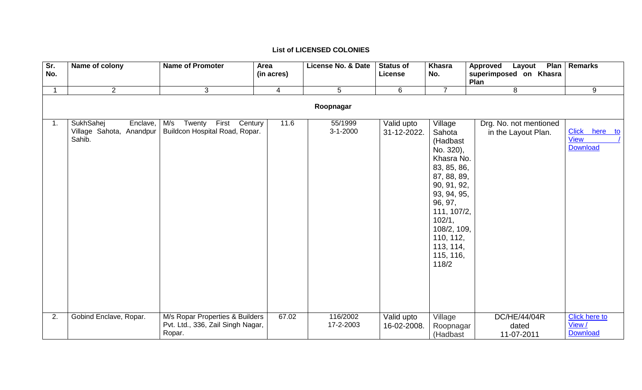| Sr.<br>No.       | Name of colony                                              | <b>Name of Promoter</b>                                                        | Area<br>(in acres) | License No. & Date        | <b>Status of</b><br>License | <b>Khasra</b><br>No.                                                                                                                                                                                                    | <b>Approved</b><br>Layout<br>superimposed on Khasra | Plan   Remarks                                    |  |  |  |
|------------------|-------------------------------------------------------------|--------------------------------------------------------------------------------|--------------------|---------------------------|-----------------------------|-------------------------------------------------------------------------------------------------------------------------------------------------------------------------------------------------------------------------|-----------------------------------------------------|---------------------------------------------------|--|--|--|
|                  |                                                             |                                                                                |                    |                           |                             |                                                                                                                                                                                                                         | Plan                                                |                                                   |  |  |  |
|                  | $\overline{2}$                                              | 3                                                                              | $\overline{4}$     | 5                         | 6                           | $\overline{7}$                                                                                                                                                                                                          | 8                                                   | 9                                                 |  |  |  |
|                  | Roopnagar                                                   |                                                                                |                    |                           |                             |                                                                                                                                                                                                                         |                                                     |                                                   |  |  |  |
| $\overline{1}$ . | SukhSahej<br>Enclave,<br>Village Sahota, Anandpur<br>Sahib. | First<br>M/s<br>Twenty<br>Century<br>Buildcon Hospital Road, Ropar.            | 11.6               | 55/1999<br>$3 - 1 - 2000$ | Valid upto<br>31-12-2022.   | Village<br>Sahota<br>(Hadbast<br>No. 320),<br>Khasra No.<br>83, 85, 86,<br>87, 88, 89,<br>90, 91, 92,<br>93, 94, 95,<br>96, 97,<br>111, 107/2,<br>102/1,<br>108/2, 109,<br>110, 112,<br>113, 114,<br>115, 116,<br>118/2 | Drg. No. not mentioned<br>in the Layout Plan.       | Click here to<br><b>View</b><br><b>Download</b>   |  |  |  |
| 2.               | Gobind Enclave, Ropar.                                      | M/s Ropar Properties & Builders<br>Pvt. Ltd., 336, Zail Singh Nagar,<br>Ropar. | 67.02              | 116/2002<br>17-2-2003     | Valid upto<br>16-02-2008.   | Village<br>Roopnagar<br>(Hadbast                                                                                                                                                                                        | DC/HE/44/04R<br>dated<br>11-07-2011                 | <b>Click here to</b><br>View /<br><b>Download</b> |  |  |  |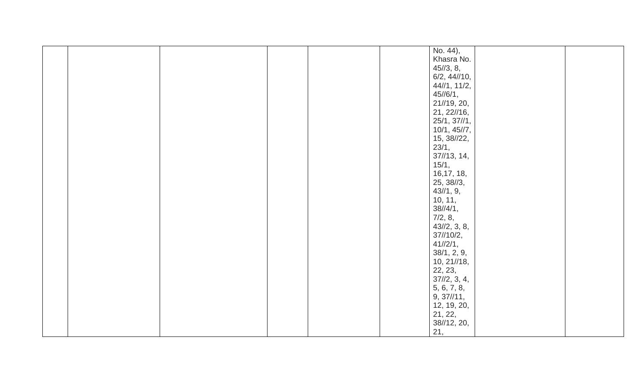|  |  |  | No. 44),                      |  |
|--|--|--|-------------------------------|--|
|  |  |  | Khasra No.                    |  |
|  |  |  | 45/3, 8,                      |  |
|  |  |  | 6/2, 44//10,                  |  |
|  |  |  | 44/1, 11/2,                   |  |
|  |  |  | $45/1/61$ ,                   |  |
|  |  |  | 21//19, 20,                   |  |
|  |  |  | 21, 22//16,                   |  |
|  |  |  | 25/1, 37//1,                  |  |
|  |  |  | 10/1, 45/7,                   |  |
|  |  |  |                               |  |
|  |  |  | 15, 38//22,                   |  |
|  |  |  | 23/1,                         |  |
|  |  |  | $37\frac{1}{3}$ , 14,         |  |
|  |  |  | 15/1,                         |  |
|  |  |  | 16, 17, 18,                   |  |
|  |  |  | 25, 38//3,                    |  |
|  |  |  | 43/1, 9,                      |  |
|  |  |  |                               |  |
|  |  |  | $10, 11,$<br>$38/\frac{4}{1}$ |  |
|  |  |  |                               |  |
|  |  |  | $7/2, 8,$<br>43//2, 3, 8,     |  |
|  |  |  | $37\frac{1}{10}$              |  |
|  |  |  | 41/2/1,                       |  |
|  |  |  | 38/1, 2, 9,                   |  |
|  |  |  | 10, 21//18,                   |  |
|  |  |  | 22, 23,                       |  |
|  |  |  | 37/2, 3, 4,                   |  |
|  |  |  |                               |  |
|  |  |  | $5, 6, 7, 8,$<br>9, 37//11,   |  |
|  |  |  |                               |  |
|  |  |  | 12, 19, 20,                   |  |
|  |  |  | 21, 22,                       |  |
|  |  |  | 38//12, 20,                   |  |
|  |  |  | 21,                           |  |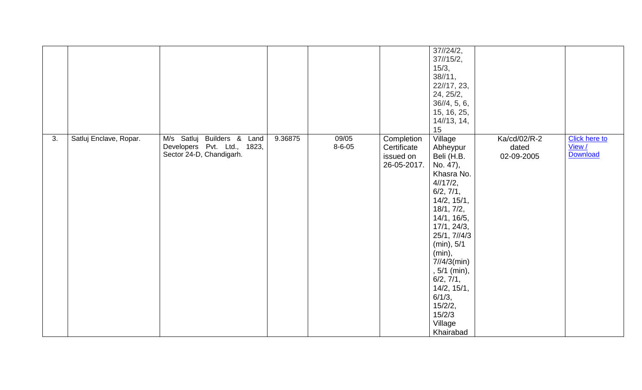|    |                        |                                                                                       |         |                       |                                                       | 37/24/2,<br>37/15/2,<br>15/3,<br>38/11,<br>22//17, 23,<br>24, 25/2,<br>36/4, 5, 6,<br>15, 16, 25,<br>14/13, 14,<br>15                                                                                                                                                                                       |                                     |                                            |
|----|------------------------|---------------------------------------------------------------------------------------|---------|-----------------------|-------------------------------------------------------|-------------------------------------------------------------------------------------------------------------------------------------------------------------------------------------------------------------------------------------------------------------------------------------------------------------|-------------------------------------|--------------------------------------------|
| 3. | Satluj Enclave, Ropar. | M/s Satluj Builders & Land<br>Developers Pvt. Ltd., 1823,<br>Sector 24-D, Chandigarh. | 9.36875 | 09/05<br>$8 - 6 - 05$ | Completion<br>Certificate<br>issued on<br>26-05-2017. | Village<br>Abheypur<br>Beli (H.B.<br>No. 47),<br>Khasra No.<br>4/17/2,<br>6/2, 7/1,<br>14/2, 15/1,<br>18/1, 7/2,<br>14/1, 16/5,<br>17/1, 24/3,<br>25/1, 7//4/3<br>(min), 5/1<br>(min),<br>$7/14/3$ (min)<br>, 5/1 (min),<br>6/2, 7/1,<br>14/2, 15/1,<br>6/1/3,<br>15/2/2,<br>15/2/3<br>Village<br>Khairabad | Ka/cd/02/R-2<br>dated<br>02-09-2005 | <b>Click here to</b><br>View /<br>Download |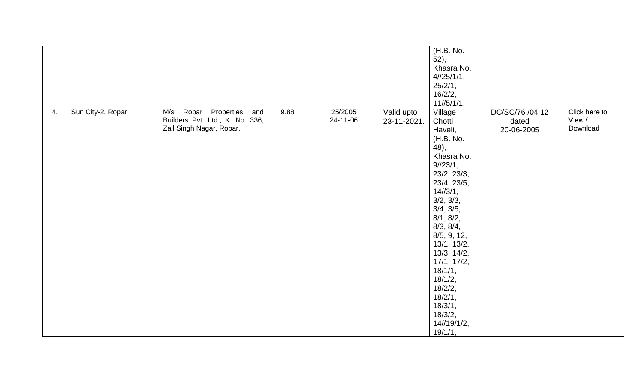|    |                   |                                                                                            |      |                     |                           | (H.B. No.<br>52,<br>Khasra No.<br>4/25/1/1,<br>25/2/1,<br>16/2/2,<br>11//5/1/1.                                                                                                                                                                                                                                                  |                                        |                                     |
|----|-------------------|--------------------------------------------------------------------------------------------|------|---------------------|---------------------------|----------------------------------------------------------------------------------------------------------------------------------------------------------------------------------------------------------------------------------------------------------------------------------------------------------------------------------|----------------------------------------|-------------------------------------|
| 4. | Sun City-2, Ropar | M/s Ropar Properties<br>and<br>Builders Pvt. Ltd., K. No. 336,<br>Zail Singh Nagar, Ropar. | 9.88 | 25/2005<br>24-11-06 | Valid upto<br>23-11-2021. | Village<br>Chotti<br>Haveli,<br>(H.B. No.<br>48),<br>Khasra No.<br>9/123/1,<br>23/2, 23/3,<br>23/4, 23/5,<br>14/3/1,<br>3/2, 3/3,<br>3/4, 3/5,<br>8/1, 8/2,<br>8/3, 8/4,<br>8/5, 9, 12,<br>13/1, 13/2,<br>13/3, 14/2,<br>17/1, 17/2,<br>18/1/1,<br>18/1/2,<br>18/2/2,<br>18/2/1,<br>18/3/1,<br>18/3/2,<br>14//19/1/2,<br>19/1/1, | DC/SC/76 /04 12<br>dated<br>20-06-2005 | Click here to<br>View /<br>Download |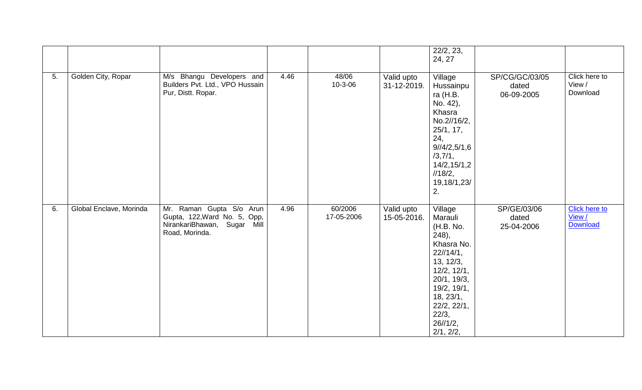|    |                         |                                                                                                           |      |                       |                                                  | 22/2, 23,<br>24, 27                                                                                                                                                                                        |                                       |                                            |
|----|-------------------------|-----------------------------------------------------------------------------------------------------------|------|-----------------------|--------------------------------------------------|------------------------------------------------------------------------------------------------------------------------------------------------------------------------------------------------------------|---------------------------------------|--------------------------------------------|
| 5. | Golden City, Ropar      | M/s Bhangu Developers and<br>Builders Pvt. Ltd., VPO Hussain<br>Pur, Distt. Ropar.                        | 4.46 | 48/06<br>10-3-06      | Valid upto<br>31-12-2019.                        | Village<br>Hussainpu<br>ra (H.B.<br>No. 42),<br>Khasra<br>No.2//16/2,<br>25/1, 17,<br>24,<br>9/14/2,5/1,6<br>/3,7/1,<br>14/2, 15/1, 2<br>1/18/2,<br>19, 18/1, 23/<br>2.                                    | SP/CG/GC/03/05<br>dated<br>06-09-2005 | Click here to<br>View /<br>Download        |
| 6. | Global Enclave, Morinda | Mr. Raman Gupta S/o Arun<br>Gupta, 122, Ward No. 5, Opp,<br>NirankariBhawan, Sugar Mill<br>Road, Morinda. | 4.96 | 60/2006<br>17-05-2006 | $\overline{\mathsf{Val}}$ id upto<br>15-05-2016. | Village<br>Marauli<br>(H.B. No.<br>248,<br>Khasra No.<br>$22\frac{1}{4}$ ,<br>13, 12/3,<br>12/2, 12/1,<br>20/1, 19/3,<br>19/2, 19/1,<br>18, 23/1,<br>22/2, 22/1,<br>22/3,<br>$26\frac{1}{12}$<br>2/1, 2/2, | SP/GE/03/06<br>dated<br>25-04-2006    | <b>Click here to</b><br>View /<br>Download |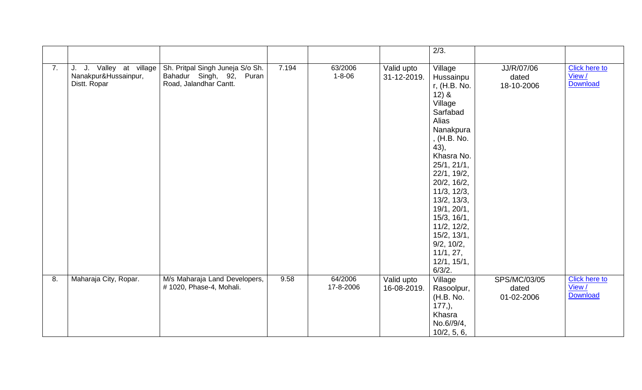|    |                                                                 |                                                                                        |       |                         |                           | 2/3.                                                                                                                                                                                                                                                                                                                         |                                     |                                                   |
|----|-----------------------------------------------------------------|----------------------------------------------------------------------------------------|-------|-------------------------|---------------------------|------------------------------------------------------------------------------------------------------------------------------------------------------------------------------------------------------------------------------------------------------------------------------------------------------------------------------|-------------------------------------|---------------------------------------------------|
| 7. | J. J. Valley at village<br>Nanakpur&Hussainpur,<br>Distt. Ropar | Sh. Pritpal Singh Juneja S/o Sh.<br>Bahadur Singh, 92, Puran<br>Road, Jalandhar Cantt. | 7.194 | 63/2006<br>$1 - 8 - 06$ | Valid upto<br>31-12-2019. | Village<br>Hussainpu<br>r, (H.B. No.<br>$12)$ &<br>Village<br>Sarfabad<br>Alias<br>Nanakpura<br>, (H.B. No.<br>43),<br>Khasra No.<br>25/1, 21/1,<br>22/1, 19/2,<br>20/2, 16/2,<br>11/3, 12/3,<br>13/2, 13/3,<br>19/1, 20/1,<br>15/3, 16/1,<br>11/2, 12/2,<br>15/2, 13/1,<br>9/2, 10/2,<br>11/1, 27,<br>12/1, 15/1,<br>6/3/2. | JJ/R/07/06<br>dated<br>18-10-2006   | <b>Click here to</b><br>View /<br><b>Download</b> |
| 8. | Maharaja City, Ropar.                                           | M/s Maharaja Land Developers,<br># 1020, Phase-4, Mohali.                              | 9.58  | 64/2006<br>17-8-2006    | Valid upto<br>16-08-2019. | Village<br>Rasoolpur,<br>(H.B. No.<br>$177,$ ),<br>Khasra<br>No.6//9/4,<br>10/2, 5, 6,                                                                                                                                                                                                                                       | SPS/MC/03/05<br>dated<br>01-02-2006 | <b>Click here to</b><br>View /<br>Download        |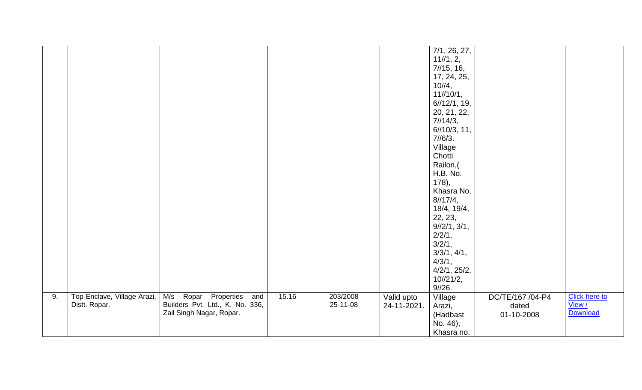|    |                             |                                   |       |          |             | 7/1, 26, 27,          |                  |                      |
|----|-----------------------------|-----------------------------------|-------|----------|-------------|-----------------------|------------------|----------------------|
|    |                             |                                   |       |          |             | 11/1, 2,              |                  |                      |
|    |                             |                                   |       |          |             | 7/15, 16,             |                  |                      |
|    |                             |                                   |       |          |             | 17, 24, 25,           |                  |                      |
|    |                             |                                   |       |          |             | 10/4,                 |                  |                      |
|    |                             |                                   |       |          |             | 11//10/1,             |                  |                      |
|    |                             |                                   |       |          |             |                       |                  |                      |
|    |                             |                                   |       |          |             | 6/12/1, 19,           |                  |                      |
|    |                             |                                   |       |          |             | 20, 21, 22,           |                  |                      |
|    |                             |                                   |       |          |             | 7/14/3,               |                  |                      |
|    |                             |                                   |       |          |             | $6\frac{1}{10}$ , 11, |                  |                      |
|    |                             |                                   |       |          |             | 7/6/3.                |                  |                      |
|    |                             |                                   |       |          |             | Village               |                  |                      |
|    |                             |                                   |       |          |             | Chotti                |                  |                      |
|    |                             |                                   |       |          |             | Railon,(              |                  |                      |
|    |                             |                                   |       |          |             | H.B. No.              |                  |                      |
|    |                             |                                   |       |          |             | 178,                  |                  |                      |
|    |                             |                                   |       |          |             | Khasra No.            |                  |                      |
|    |                             |                                   |       |          |             | 8/17/4,               |                  |                      |
|    |                             |                                   |       |          |             | 18/4, 19/4,           |                  |                      |
|    |                             |                                   |       |          |             | 22, 23,               |                  |                      |
|    |                             |                                   |       |          |             | 9/12/1, 3/1,          |                  |                      |
|    |                             |                                   |       |          |             |                       |                  |                      |
|    |                             |                                   |       |          |             | 2/2/1,                |                  |                      |
|    |                             |                                   |       |          |             | 3/2/1,                |                  |                      |
|    |                             |                                   |       |          |             | 3/3/1, 4/1,           |                  |                      |
|    |                             |                                   |       |          |             | 4/3/1,                |                  |                      |
|    |                             |                                   |       |          |             | 4/2/1, 25/2,          |                  |                      |
|    |                             |                                   |       |          |             | 10/21/2,              |                  |                      |
|    |                             |                                   |       |          |             | 9/26.                 |                  |                      |
| 9. | Top Enclave, Village Arazi, | Properties<br>M/s<br>Ropar<br>and | 15.16 | 203/2008 | Valid upto  | Village               | DC/TE/167 /04-P4 | <b>Click here to</b> |
|    | Distt. Ropar.               | Builders Pvt. Ltd., K. No. 336,   |       | 25-11-08 | 24-11-2021. | Arazi,                | dated            | View /               |
|    |                             | Zail Singh Nagar, Ropar.          |       |          |             | (Hadbast              | 01-10-2008       | Download             |
|    |                             |                                   |       |          |             | No. 46),              |                  |                      |
|    |                             |                                   |       |          |             | Khasra no.            |                  |                      |
|    |                             |                                   |       |          |             |                       |                  |                      |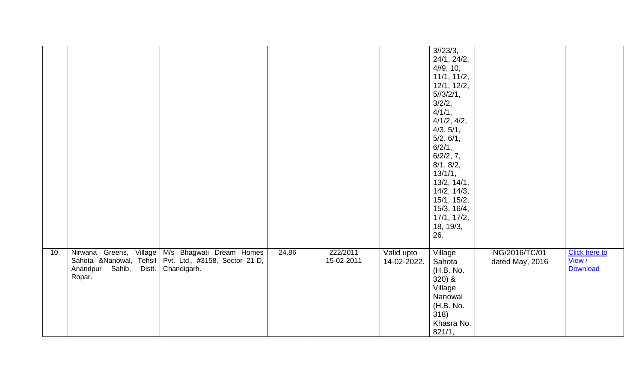|     |                                                                      |                                                                                                     |       |                        |                           | 3/23/3,<br>24/1, 24/2,<br>4/9, 10,<br>11/1, 11/2,<br>12/1, 12/2,<br>5/3/2/1,                                  |                                  |                                                   |
|-----|----------------------------------------------------------------------|-----------------------------------------------------------------------------------------------------|-------|------------------------|---------------------------|---------------------------------------------------------------------------------------------------------------|----------------------------------|---------------------------------------------------|
|     |                                                                      |                                                                                                     |       |                        |                           | 3/2/2,<br>4/1/1,<br>4/1/2, 4/2,<br>4/3, 5/1,<br>5/2, 6/1,<br>6/2/1,<br>6/2/2, 7,<br>8/1, 8/2,                 |                                  |                                                   |
|     |                                                                      |                                                                                                     |       |                        |                           | 13/1/1,<br>13/2, 14/1,<br>14/2, 14/3,<br>15/1, 15/2,<br>15/3, 16/4,<br>17/1, 17/2,<br>18, 19/3,<br>26.        |                                  |                                                   |
| 10. | Nirwana Greens,<br>Village<br>Sahib,<br>Anandpur<br>Distt.<br>Ropar. | M/s Bhagwati Dream Homes<br>Sahota &Nanowal, Tehsil   Pvt. Ltd., #3158, Sector 21-D,<br>Chandigarh. | 24.86 | 222/2011<br>15-02-2011 | Valid upto<br>14-02-2022. | Village<br>Sahota<br>(H.B. No.<br>$320)$ &<br>Village<br>Nanowal<br>(H.B. No.<br>318)<br>Khasra No.<br>821/1, | NG/2016/TC/01<br>dated May, 2016 | <b>Click here to</b><br>View /<br><b>Download</b> |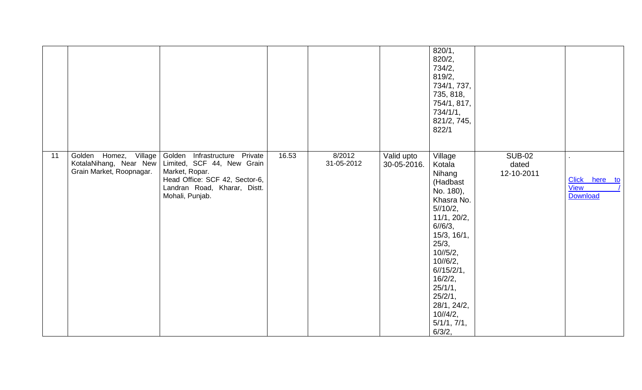|    |                                                                             |                                                                                                                                                                       |       |                      |                           | 820/1,<br>820/2,<br>734/2,<br>819/2,<br>734/1, 737,<br>735, 818,<br>754/1, 817,<br>734/1/1,<br>821/2, 745,<br>822/1                                                                                                                                              |                                      |                                                 |
|----|-----------------------------------------------------------------------------|-----------------------------------------------------------------------------------------------------------------------------------------------------------------------|-------|----------------------|---------------------------|------------------------------------------------------------------------------------------------------------------------------------------------------------------------------------------------------------------------------------------------------------------|--------------------------------------|-------------------------------------------------|
| 11 | Golden Homez, Village<br>KotalaNihang, Near New<br>Grain Market, Roopnagar. | Golden<br>Infrastructure Private<br>Limited, SCF 44, New Grain<br>Market, Ropar.<br>Head Office: SCF 42, Sector-6,<br>Landran Road, Kharar, Distt.<br>Mohali, Punjab. | 16.53 | 8/2012<br>31-05-2012 | Valid upto<br>30-05-2016. | Village<br>Kotala<br>Nihang<br>(Hadbast<br>No. 180),<br>Khasra No.<br>5/10/2,<br>11/1, 20/2,<br>$6/16/3$ ,<br>15/3, 16/1,<br>25/3,<br>10/5/2,<br>10/6/2,<br>6/15/2/1,<br>16/2/2,<br>25/1/1,<br>25/2/1,<br>28/1, 24/2,<br>$10^{1/4/2}$ ,<br>5/1/1, 7/1,<br>6/3/2, | <b>SUB-02</b><br>dated<br>12-10-2011 | Click here to<br><b>View</b><br><b>Download</b> |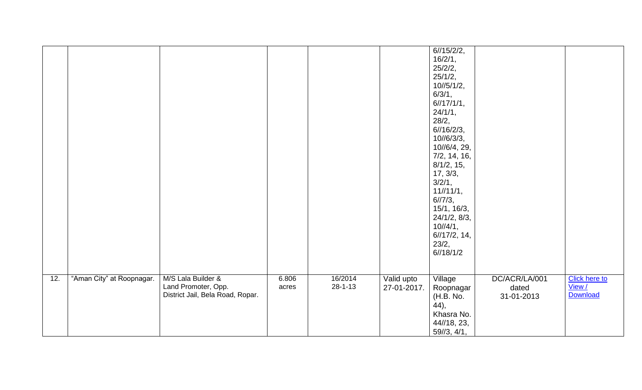|     |                           |                                  |       |               |             | 6/15/2/2,      |               |                      |
|-----|---------------------------|----------------------------------|-------|---------------|-------------|----------------|---------------|----------------------|
|     |                           |                                  |       |               |             | 16/2/1,        |               |                      |
|     |                           |                                  |       |               |             | 25/2/2,        |               |                      |
|     |                           |                                  |       |               |             | 25/1/2,        |               |                      |
|     |                           |                                  |       |               |             | 10/5/1/2,      |               |                      |
|     |                           |                                  |       |               |             | 6/3/1,         |               |                      |
|     |                           |                                  |       |               |             | 6/17/1/1,      |               |                      |
|     |                           |                                  |       |               |             | 24/1/1,        |               |                      |
|     |                           |                                  |       |               |             | 28/2,          |               |                      |
|     |                           |                                  |       |               |             | 6/16/2/3,      |               |                      |
|     |                           |                                  |       |               |             | 10//6/3/3,     |               |                      |
|     |                           |                                  |       |               |             | 10//6/4, 29,   |               |                      |
|     |                           |                                  |       |               |             | 7/2, 14, 16,   |               |                      |
|     |                           |                                  |       |               |             |                |               |                      |
|     |                           |                                  |       |               |             | 8/1/2, 15,     |               |                      |
|     |                           |                                  |       |               |             | 17, 3/3,       |               |                      |
|     |                           |                                  |       |               |             | 3/2/1,         |               |                      |
|     |                           |                                  |       |               |             | 11/11/1,       |               |                      |
|     |                           |                                  |       |               |             | 6/7/3,         |               |                      |
|     |                           |                                  |       |               |             | 15/1, 16/3,    |               |                      |
|     |                           |                                  |       |               |             | 24/1/2, 8/3,   |               |                      |
|     |                           |                                  |       |               |             | $10^{1/4/1}$ , |               |                      |
|     |                           |                                  |       |               |             | 6/17/2, 14,    |               |                      |
|     |                           |                                  |       |               |             | 23/2,          |               |                      |
|     |                           |                                  |       |               |             | 6/18/1/2       |               |                      |
|     |                           |                                  |       |               |             |                |               |                      |
|     |                           |                                  |       |               |             |                |               |                      |
| 12. | "Aman City" at Roopnagar. | M/S Lala Builder &               | 6.806 | 16/2014       | Valid upto  | Village        | DC/ACR/LA/001 | <b>Click here to</b> |
|     |                           | Land Promoter, Opp.              | acres | $28 - 1 - 13$ | 27-01-2017. | Roopnagar      | dated         | View /               |
|     |                           | District Jail, Bela Road, Ropar. |       |               |             | (H.B. No.      | 31-01-2013    | Download             |
|     |                           |                                  |       |               |             | $(44)$ ,       |               |                      |
|     |                           |                                  |       |               |             | Khasra No.     |               |                      |
|     |                           |                                  |       |               |             |                |               |                      |
|     |                           |                                  |       |               |             | 44//18, 23,    |               |                      |
|     |                           |                                  |       |               |             | 59/3, 4/1,     |               |                      |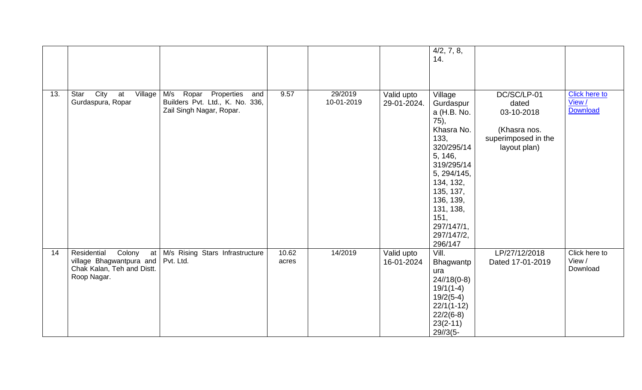|     |                                                                                                      |                                                                                                                      |                |                       |                           | 4/2, 7, 8,<br>14.                                                                                                                                                                                                          |                                                                                           |                                            |
|-----|------------------------------------------------------------------------------------------------------|----------------------------------------------------------------------------------------------------------------------|----------------|-----------------------|---------------------------|----------------------------------------------------------------------------------------------------------------------------------------------------------------------------------------------------------------------------|-------------------------------------------------------------------------------------------|--------------------------------------------|
| 13. | City<br>Star<br>Village<br>at<br>Gurdaspura, Ropar                                                   | $\overline{\mathsf{M}}$ /s Ropar<br>Properties<br>and<br>Builders Pvt. Ltd., K. No. 336,<br>Zail Singh Nagar, Ropar. | 9.57           | 29/2019<br>10-01-2019 | Valid upto<br>29-01-2024. | Village<br>Gurdaspur<br>a (H.B. No.<br>75),<br>Khasra No.<br>133,<br>320/295/14<br>5, 146,<br>319/295/14<br>5, 294/145,<br>134, 132,<br>135, 137,<br>136, 139,<br>131, 138,<br>151,<br>297/147/1,<br>297/147/2,<br>296/147 | DC/SC/LP-01<br>dated<br>03-10-2018<br>(Khasra nos.<br>superimposed in the<br>layout plan) | <b>Click here to</b><br>View /<br>Download |
| 14  | Residential<br>Colony<br>at<br>village Bhagwantpura and<br>Chak Kalan, Teh and Distt.<br>Roop Nagar. | M/s Rising Stars Infrastructure<br>Pvt. Ltd.                                                                         | 10.62<br>acres | 14/2019               | Valid upto<br>16-01-2024  | Vill.<br>Bhagwantp<br>ura<br>$24/18(0-8)$<br>$19/1(1-4)$<br>$19/2(5-4)$<br>$22/1(1-12)$<br>$22/2(6-8)$<br>$23(2-11)$<br>$29/3(5 -$                                                                                         | LP/27/12/2018<br>Dated 17-01-2019                                                         | Click here to<br>View /<br>Download        |